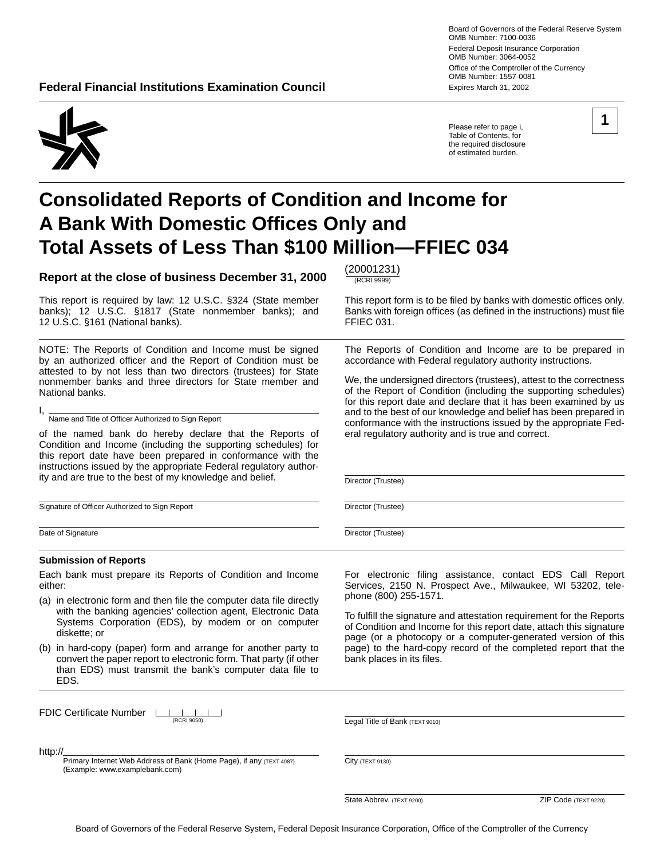**Federal Financial Institutions Examination Council <b>Expires March 31, 2002** Expires March 31, 2002

Board of Governors of the Federal Reserve System OMB Number: 7100-0036 Federal Deposit Insurance Corporation OMB Number: 3064-0052 Office of the Comptroller of the Currency OMB Number: 1557-0081

**1** 



Please refer to page i, Table of Contents, for the required disclosure of estimated burden.

# **Consolidated Reports of Condition and Income for A Bank With Domestic Offices Only and Total Assets of Less Than \$100 Million—FFIEC 034**

**Report at the close of business December 31, 2000**  $\frac{(20001231)}{(RCR1 9999)}$ 

This report is required by law: 12 U.S.C. §324 (State member This report form is to be filed by banks with domestic offices only. banks); 12 U.S.C. §1817 (State nonmember banks); and Banks with foreign offices (as defined in the instructions) must file<br>12 U.S.C. §161 (National banks). FFIEC 031. 12 U.S.C. §161 (National banks).

NOTE: The Reports of Condition and Income must be signed by an authorized officer and the Report of Condition must be attested to by not less than two directors (trustees) for State nonmember banks and three directors for State member and National banks.

I, Name and Title of Officer Authorized to Sign Report

of the named bank do hereby declare that the Reports of Condition and Income (including the supporting schedules) for this report date have been prepared in conformance with the instructions issued by the appropriate Federal regulatory authority and are true to the best of my knowledge and belief.

Signature of Officer Authorized to Sign Report

Date of Signature

#### **Submission of Reports**

Each bank must prepare its Reports of Condition and Income either:

- (a) in electronic form and then file the computer data file directly with the banking agencies' collection agent, Electronic Data Systems Corporation (EDS), by modem or on computer diskette; or
- (b) in hard-copy (paper) form and arrange for another party to convert the paper report to electronic form. That party (if other than EDS) must transmit the bank's computer data file to EDS.

page (or a photocopy or a computer-generated version of this page) to the hard-copy record of the completed report that the bank places in its files.

| FDIC Certificate Number Louise |  | (0.001000) |  |
|--------------------------------|--|------------|--|
|                                |  |            |  |

Legal Title of Bank (TEXT 9010)

phone (800) 255-1571.

http://

Primary Internet Web Address of Bank (Home Page), if any (TEXT 4087) (Example: www.examplebank.com)

City (TEXT 9130)

**State Abbrev.** (TEXT 9200) **ZIP Code** (TEXT 9220)

The Reports of Condition and Income are to be prepared in accordance with Federal regulatory authority instructions.

We, the undersigned directors (trustees), attest to the correctness of the Report of Condition (including the supporting schedules) for this report date and declare that it has been examined by us and to the best of our knowledge and belief has been prepared in conformance with the instructions issued by the appropriate Federal regulatory authority and is true and correct.

For electronic filing assistance, contact EDS Call Report Services, 2150 N. Prospect Ave., Milwaukee, WI 53202, tele-

To fulfill the signature and attestation requirement for the Reports of Condition and Income for this report date, attach this signature

Director (Trustee)

Director (Trustee)

Director (Trustee)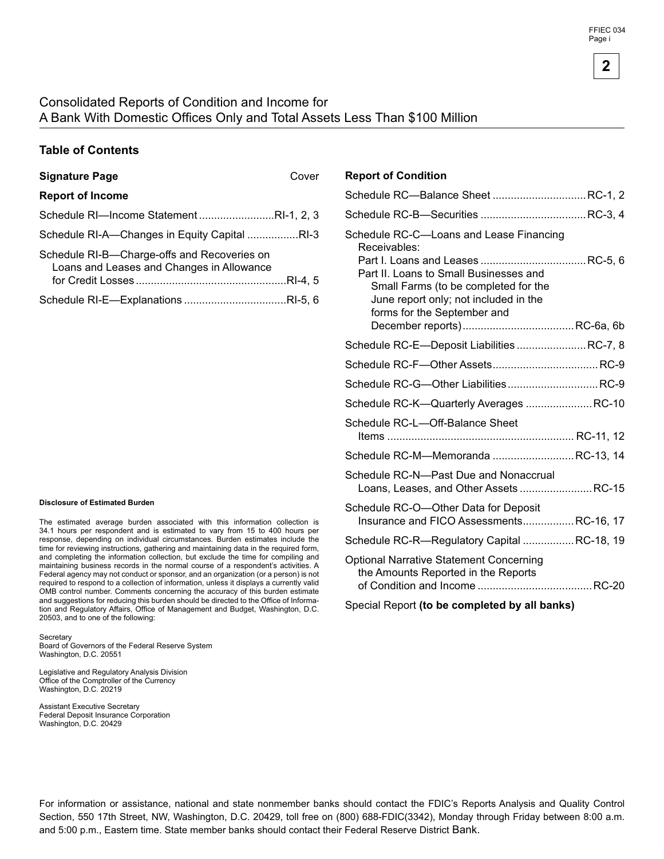### Consolidated Reports of Condition and Income for A Bank With Domestic Offices Only and Total Assets Less Than \$100 Million

### **Table of Contents**

| <b>Report of Income</b>                                                                  |  |
|------------------------------------------------------------------------------------------|--|
| Schedule RI-Income StatementRI-1, 2, 3                                                   |  |
| Schedule RI-A—Changes in Equity Capital RI-3                                             |  |
| Schedule RI-B-Charge-offs and Recoveries on<br>Loans and Leases and Changes in Allowance |  |
|                                                                                          |  |

#### **Disclosure of Estimated Burden**

The estimated average burden associated with this information collection is 34.1 hours per respondent and is estimated to vary rom 15 to 400 hours per response, depending on individual circumstances. Burden estimates include the time for reviewing instructions, gathering and maintaining data in the required form, and completing the information collection, but exclude the time for compiling and maintaining business records in the normal course of a respondent's activities. A Federal agency may not conduct or sponsor, and an organization (or a person) is not required to respond to a collection of information, unless it displays a currently valid OMB control number. Comments concerning the accuracy of this burden estimate and suggestions for reducing this burden should be directed to the Office of Information and Regulatory Affairs, Office of Management and Budget, Washington, D.C. 20503, and to one of the following:

**Secretary** 

Board of Governors of the Federal Reserve System Washington, D.C. 20551

Legislative and Regulatory Analysis Division Office of the Comptroller of the Currency Washington, D.C. 20219

Assistant Executive Secretary Federal Deposit Insurance Corporation Washington, D.C. 20429

### **Signature Page** Cover **Report of Condition**

| Schedule RC-Balance Sheet  RC-1, 2                                                                                                                                                                                |  |
|-------------------------------------------------------------------------------------------------------------------------------------------------------------------------------------------------------------------|--|
|                                                                                                                                                                                                                   |  |
| Schedule RC-C-Loans and Lease Financing<br>Receivables:<br>Part II. Loans to Small Businesses and<br>Small Farms (to be completed for the<br>June report only; not included in the<br>forms for the September and |  |
| Schedule RC-E-Deposit Liabilities  RC-7, 8                                                                                                                                                                        |  |
|                                                                                                                                                                                                                   |  |
| Schedule RC-G-Other Liabilities RC-9                                                                                                                                                                              |  |
| Schedule RC-K-Quarterly Averages  RC-10                                                                                                                                                                           |  |
| Schedule RC-L-Off-Balance Sheet                                                                                                                                                                                   |  |
| Schedule RC-M-Memoranda  RC-13, 14                                                                                                                                                                                |  |
| Schedule RC-N—Past Due and Nonaccrual<br>Loans, Leases, and Other Assets  RC-15                                                                                                                                   |  |
| Schedule RC-O-Other Data for Deposit<br>Insurance and FICO AssessmentsRC-16, 17                                                                                                                                   |  |
| Schedule RC-R—Regulatory Capital RC-18, 19                                                                                                                                                                        |  |
| <b>Optional Narrative Statement Concerning</b><br>the Amounts Reported in the Reports                                                                                                                             |  |

Special Report **(to be completed by all banks)** 

For information or assistance, national and state nonmember banks should contact the FDIC's Reports Analysis and Quality Control Section, 550 17th Street, NW, Washington, D.C. 20429, toll free on (800) 688-FDIC(3342), Monday through Friday between 8:00 a.m. and 5:00 p.m., Eastern time. State member banks should contact their Federal Reserve District Bank.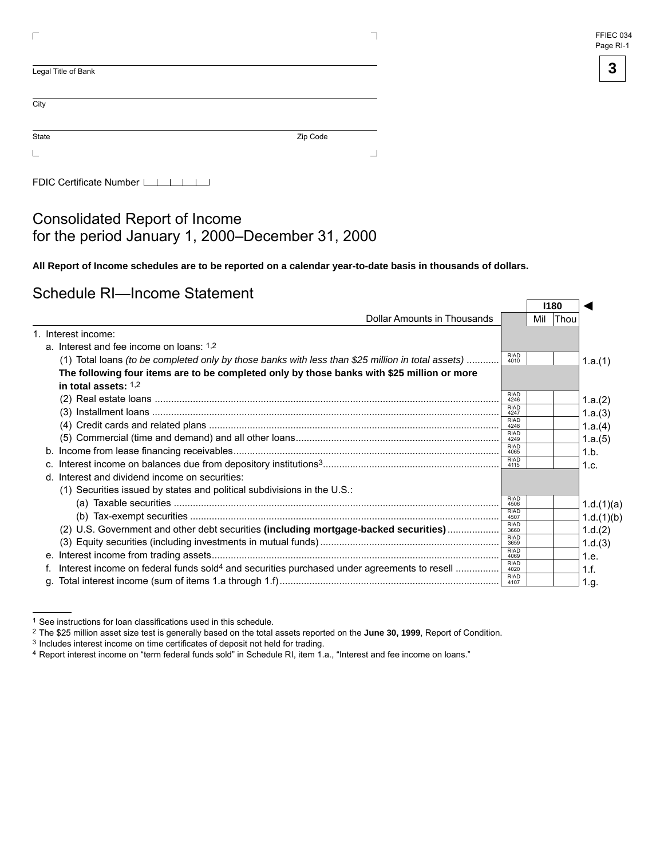| FFIEC 034 |  |
|-----------|--|
| Page RI-1 |  |



◄

| Legal Title of Bank |          |
|---------------------|----------|
| City                |          |
| State               | Zip Code |
|                     |          |

FDIC Certificate Number LILILI

### Consolidated Report of Income for the period January 1, 2000–December 31, 2000

**All Report of Income schedules are to be reported on a calendar year-to-date basis in thousands of dollars.** 

### Schedule RI—Income Statement

|    |                                                                                                        | 1180                |     |             |            |
|----|--------------------------------------------------------------------------------------------------------|---------------------|-----|-------------|------------|
|    | Dollar Amounts in Thousands                                                                            |                     | Mil | <b>Thou</b> |            |
|    | 1. Interest income:                                                                                    |                     |     |             |            |
|    | a. Interest and fee income on loans: 1,2                                                               |                     |     |             |            |
|    | (1) Total loans (to be completed only by those banks with less than \$25 million in total assets)      | <b>RIAD</b><br>4010 |     |             | 1.a.(1)    |
|    | The following four items are to be completed only by those banks with \$25 million or more             |                     |     |             |            |
|    | in total assets: $1,2$                                                                                 |                     |     |             |            |
|    |                                                                                                        | <b>RIAD</b><br>4246 |     |             | 1.a.(2)    |
|    |                                                                                                        | <b>RIAD</b><br>4247 |     |             | 1.a.(3)    |
|    |                                                                                                        | <b>RIAD</b><br>4248 |     |             | 1.a.(4)    |
|    |                                                                                                        | <b>RIAD</b><br>4249 |     |             | 1.a.(5)    |
|    |                                                                                                        | <b>RIAD</b><br>4065 |     |             | 1.b.       |
| C. |                                                                                                        | <b>RIAD</b><br>4115 |     |             | 1.c.       |
|    | d. Interest and dividend income on securities:                                                         |                     |     |             |            |
|    | (1) Securities issued by states and political subdivisions in the U.S.:                                |                     |     |             |            |
|    |                                                                                                        | <b>RIAD</b><br>4506 |     |             | 1.d.(1)(a) |
|    |                                                                                                        | <b>RIAD</b><br>4507 |     |             | 1.d.(1)(b) |
|    | (2) U.S. Government and other debt securities (including mortgage-backed securities)                   | <b>RIAD</b><br>3660 |     |             | 1.d.(2)    |
|    |                                                                                                        | <b>RIAD</b><br>3659 |     |             | 1.d.(3)    |
|    |                                                                                                        | <b>RIAD</b><br>4069 |     |             | 1.e.       |
|    | Interest income on federal funds sold <sup>4</sup> and securities purchased under agreements to resell | <b>RIAD</b><br>4020 |     |             | 1.f.       |
|    |                                                                                                        | <b>RIAD</b><br>4107 |     |             | 1.g.       |

<sup>1</sup> See instructions for loan classifications used in this schedule. 2 The \$25 million asset size test is generally based on the total assets reported on the **June 30, 1999**, Report of Condition.

<sup>3</sup> Includes interest income on time certificates of deposit not held for trading.

<sup>4</sup> Report interest income on "term federal funds sold" in Schedule RI, item 1.a., "Interest and fee income on loans."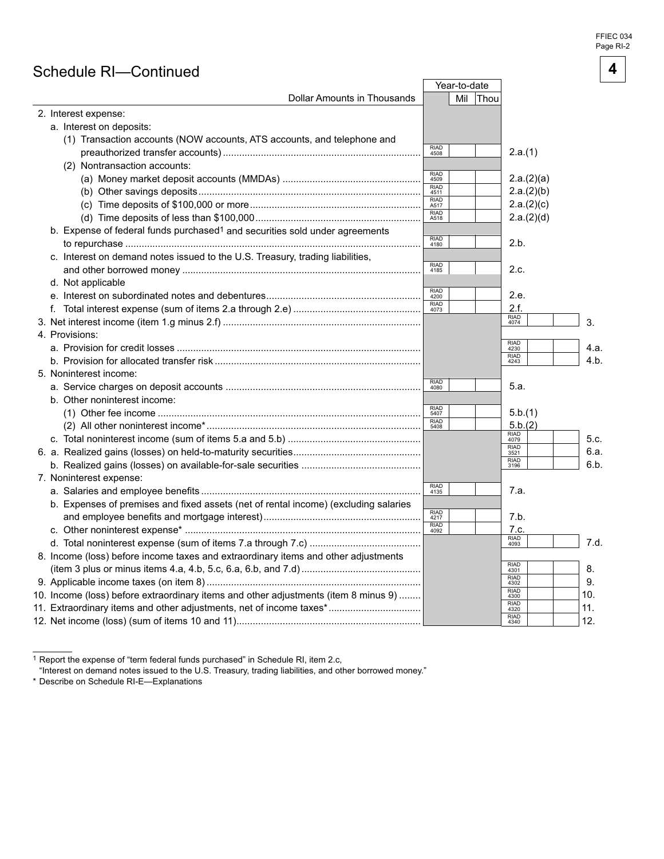FFIEC 034 Page RI-2

**4** 

### Schedule RI—Continued

|                                                                                         |                     | Year-to-date |                     |      |
|-----------------------------------------------------------------------------------------|---------------------|--------------|---------------------|------|
| <b>Dollar Amounts in Thousands</b>                                                      |                     | Mil<br> Thou |                     |      |
| 2. Interest expense:                                                                    |                     |              |                     |      |
| a. Interest on deposits:                                                                |                     |              |                     |      |
| (1) Transaction accounts (NOW accounts, ATS accounts, and telephone and                 |                     |              |                     |      |
|                                                                                         | RIAD<br>4508        |              | 2.a.(1)             |      |
| (2) Nontransaction accounts:                                                            |                     |              |                     |      |
|                                                                                         | RIAD<br>4509        |              | 2.a.(2)(a)          |      |
|                                                                                         | RIAD<br>4511        |              | 2.a.(2)(b)          |      |
|                                                                                         | <b>RIAD</b><br>A517 |              | 2.a.(2)(c)          |      |
|                                                                                         | RIAD<br>A518        |              | 2.a.(2)(d)          |      |
| b. Expense of federal funds purchased <sup>1</sup> and securities sold under agreements |                     |              |                     |      |
|                                                                                         | RIAD<br>4180        |              | 2.b.                |      |
| c. Interest on demand notes issued to the U.S. Treasury, trading liabilities,           |                     |              |                     |      |
|                                                                                         | RIAD<br>4185        |              | 2.c.                |      |
| d. Not applicable                                                                       |                     |              |                     |      |
|                                                                                         | RIAD<br>4200        |              | 2.e.                |      |
|                                                                                         | RIAD<br>4073        |              | 2.f.                |      |
|                                                                                         |                     |              | RIAD<br>4074        | 3.   |
| 4. Provisions:                                                                          |                     |              |                     |      |
|                                                                                         |                     |              | RIAD<br>4230        | 4.a. |
|                                                                                         |                     |              | RIAD<br>4243        | 4.b. |
| 5. Noninterest income:                                                                  |                     |              |                     |      |
|                                                                                         | RIAD<br>4080        |              | 5.a.                |      |
| b. Other noninterest income:                                                            |                     |              |                     |      |
|                                                                                         | RIAD<br>5407        |              | 5.b.(1)             |      |
|                                                                                         | RIAD<br>5408        |              | 5.b.(2)             |      |
|                                                                                         |                     |              | RIAD<br>4079        | 5.c. |
|                                                                                         |                     |              | RIAD<br>3521        | 6.a. |
|                                                                                         |                     |              | RIAD<br>3196        | 6.b. |
| 7. Noninterest expense:                                                                 |                     |              |                     |      |
|                                                                                         | RIAD<br>4135        |              | 7.a.                |      |
| b. Expenses of premises and fixed assets (net of rental income) (excluding salaries     |                     |              |                     |      |
|                                                                                         | RIAD<br>4217        |              | 7.b.                |      |
|                                                                                         | RIAD<br>4092        |              | 7.c.                |      |
|                                                                                         |                     |              | RIAD<br>4093        | 7.d. |
| 8. Income (loss) before income taxes and extraordinary items and other adjustments      |                     |              |                     |      |
|                                                                                         |                     |              | <b>RIAD</b><br>4301 | 8.   |
|                                                                                         |                     |              | <b>RIAD</b><br>4302 | 9.   |
| 10. Income (loss) before extraordinary items and other adjustments (item 8 minus 9)     |                     |              | <b>RIAD</b><br>4300 | 10.  |
| 11. Extraordinary items and other adjustments, net of income taxes*                     |                     |              | <b>RIAD</b><br>4320 | 11.  |
|                                                                                         |                     |              | <b>RIAD</b><br>4340 | 12.  |

1 Report the expense of "term federal funds purchased" in Schedule RI, item 2.c,

"Interest on demand notes issued to the U.S. Treasury, trading liabilities, and other borrowed money."

\* Describe on Schedule RI-E—Explanations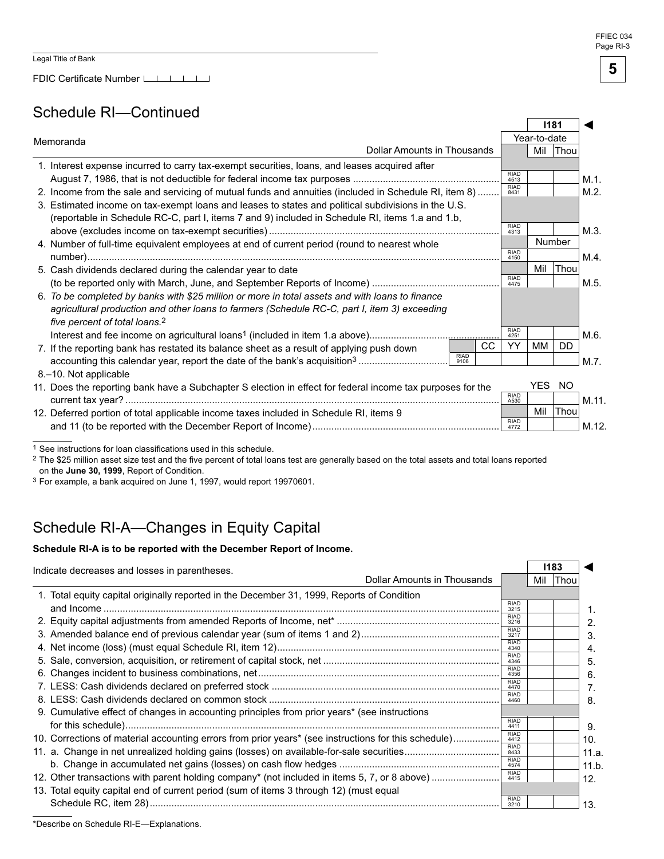FDIC Certificate Number LLLLLLL

### Schedule RI—Continued

|                                                                                                            |                     | 1181 |        |       |
|------------------------------------------------------------------------------------------------------------|---------------------|------|--------|-------|
| Memoranda                                                                                                  | Year-to-date        |      |        |       |
| <b>Dollar Amounts in Thousands</b>                                                                         |                     | Mil  | Thou   |       |
| 1. Interest expense incurred to carry tax-exempt securities, loans, and leases acquired after              |                     |      |        |       |
|                                                                                                            | <b>RIAD</b><br>4513 |      |        | M.1.  |
| 2. Income from the sale and servicing of mutual funds and annuities (included in Schedule RI, item 8)      | <b>RIAD</b><br>8431 |      |        | M.2.  |
| 3. Estimated income on tax-exempt loans and leases to states and political subdivisions in the U.S.        |                     |      |        |       |
| (reportable in Schedule RC-C, part I, items 7 and 9) included in Schedule RI, items 1.a and 1.b,           | <b>RIAD</b>         |      |        |       |
|                                                                                                            | 4313                |      |        | M.3.  |
| 4. Number of full-time equivalent employees at end of current period (round to nearest whole               | <b>RIAD</b>         |      | Number |       |
|                                                                                                            | 4150                |      |        | M.4.  |
| 5. Cash dividends declared during the calendar year to date                                                | <b>RIAD</b>         | Mil  | Thou   |       |
|                                                                                                            | 4475                |      |        | M.5.  |
| 6. To be completed by banks with \$25 million or more in total assets and with loans to finance            |                     |      |        |       |
| agricultural production and other loans to farmers (Schedule RC-C, part I, item 3) exceeding               |                     |      |        |       |
| five percent of total loans. <sup>2</sup>                                                                  | <b>RIAD</b>         |      |        |       |
| cc                                                                                                         | 4251<br>YY          | МM   | DD.    | M.6.  |
| 7. If the reporting bank has restated its balance sheet as a result of applying push down<br><b>RIAD</b>   |                     |      |        |       |
| 9106                                                                                                       |                     |      |        | M.7.  |
| 8.–10. Not applicable                                                                                      |                     | YES  | NO.    |       |
| 11. Does the reporting bank have a Subchapter S election in effect for federal income tax purposes for the | RIAD                |      |        |       |
|                                                                                                            | A530                | Mil  | Thou   | M.11. |
| 12. Deferred portion of total applicable income taxes included in Schedule RI, items 9                     | RIAD                |      |        |       |
|                                                                                                            | 4772                |      |        | M.12. |

1 See instructions for loan classifications used in this schedule.

2 The \$25 million asset size test and the five percent of total loans test are generally based on the total assets and total loans reported on the **June 30, 1999**, Report of Condition.

<sup>3</sup> For example, a bank acquired on June 1, 1997, would report 19970601.

# Schedule RI-A—Changes in Equity Capital

#### Schedule RI-A is to be reported with the December Report of Income.

| Indicate decreases and losses in parentheses.                                                        |                             | 1183 |             |
|------------------------------------------------------------------------------------------------------|-----------------------------|------|-------------|
|                                                                                                      | Dollar Amounts in Thousands | Mil  | <b>Thou</b> |
| 1. Total equity capital originally reported in the December 31, 1999, Reports of Condition           |                             |      |             |
|                                                                                                      | <b>RIAD</b><br>3215         |      |             |
|                                                                                                      | <b>RIAD</b><br>3216         |      |             |
|                                                                                                      | <b>RIAD</b><br>3217         |      |             |
|                                                                                                      | <b>RIAD</b><br>4340         |      |             |
|                                                                                                      | <b>RIAD</b><br>4346         |      |             |
|                                                                                                      | <b>RIAD</b><br>4356         |      |             |
|                                                                                                      | <b>RIAD</b><br>4470         |      |             |
|                                                                                                      | <b>RIAD</b><br>4460         |      |             |
| 9. Cumulative effect of changes in accounting principles from prior years* (see instructions         |                             |      |             |
|                                                                                                      | <b>RIAD</b><br>4411         |      |             |
| 10. Corrections of material accounting errors from prior years* (see instructions for this schedule) | <b>RIAD</b><br>4412         |      |             |
|                                                                                                      | <b>RIAD</b><br>8433         |      |             |
|                                                                                                      | <b>RIAD</b><br>4574         |      |             |
| 12. Other transactions with parent holding company* (not included in items 5, 7, or 8 above)         | <b>RIAD</b><br>4415         |      |             |
| 13. Total equity capital end of current period (sum of items 3 through 12) (must equal               |                             |      |             |
|                                                                                                      | <b>RIAD</b><br>3210         |      |             |

FFIEC 034 Page RI-3

**5** 

\*Describe on Schedule RI-E—Explanations.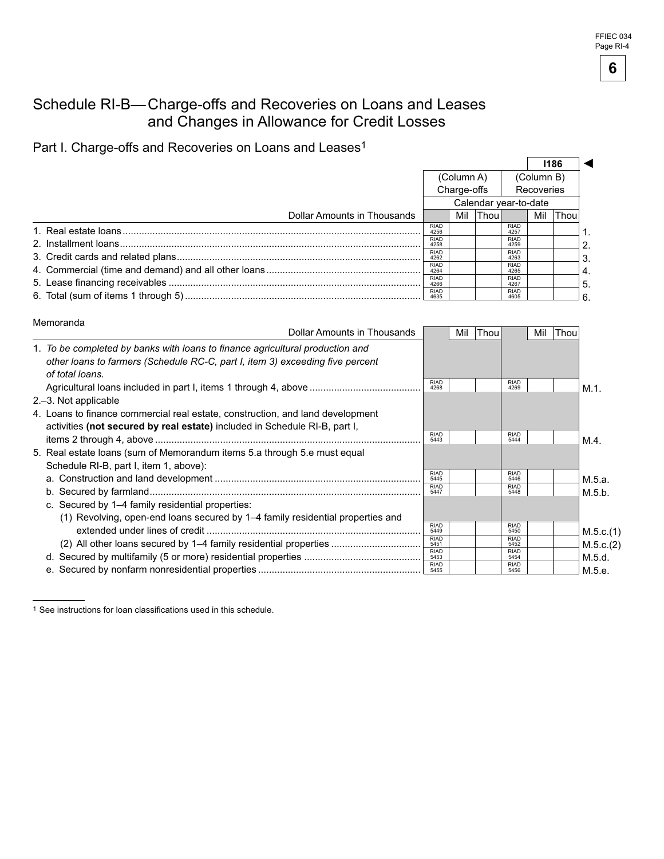### Schedule RI-B— Charge-offs and Recoveries on Loans and Leases and Changes in Allowance for Credit Losses

Part I. Charge-offs and Recoveries on Loans and Leases<sup>1</sup>

|                             |                       |             |        |                     |     | 1186        |    |
|-----------------------------|-----------------------|-------------|--------|---------------------|-----|-------------|----|
|                             | (Column A)            |             |        | (Column B)          |     |             |    |
|                             |                       | Charge-offs |        | Recoveries          |     |             |    |
|                             | Calendar year-to-date |             |        |                     |     |             |    |
| Dollar Amounts in Thousands |                       | Mil         | Thou l |                     | Mil | <b>Thou</b> |    |
|                             | <b>RIAD</b><br>4256   |             |        | <b>RIAD</b><br>4257 |     |             |    |
|                             | <b>RIAD</b><br>4258   |             |        | <b>RIAD</b><br>4259 |     |             |    |
|                             | <b>RIAD</b><br>4262   |             |        | <b>RIAD</b><br>4263 |     |             |    |
|                             | <b>RIAD</b><br>4264   |             |        | <b>RIAD</b><br>4265 |     |             | 4. |
|                             | <b>RIAD</b><br>4266   |             |        | <b>RIAD</b><br>4267 |     |             | 5. |
|                             | <b>RIAD</b>           |             |        | <b>RIAD</b><br>4605 |     |             |    |

| Memoranda                                                                                        |                     |      |                     |     |      |           |
|--------------------------------------------------------------------------------------------------|---------------------|------|---------------------|-----|------|-----------|
| Dollar Amounts in Thousands                                                                      | Mil                 | Thou |                     | Mil | Thou |           |
| 1. To be completed by banks with loans to finance agricultural production and                    |                     |      |                     |     |      |           |
| other loans to farmers (Schedule RC-C, part I, item 3) exceeding five percent<br>of total loans. |                     |      |                     |     |      |           |
|                                                                                                  | <b>RIAD</b><br>4268 |      | <b>RIAD</b><br>4269 |     |      | $M.1$ .   |
| 2.–3. Not applicable                                                                             |                     |      |                     |     |      |           |
| 4. Loans to finance commercial real estate, construction, and land development                   |                     |      |                     |     |      |           |
| activities (not secured by real estate) included in Schedule RI-B, part I,                       |                     |      |                     |     |      |           |
|                                                                                                  | <b>RIAD</b><br>5443 |      | <b>RIAD</b><br>5444 |     |      | $M.4$ .   |
| 5. Real estate loans (sum of Memorandum items 5.a through 5.e must equal                         |                     |      |                     |     |      |           |
| Schedule RI-B, part I, item 1, above):                                                           |                     |      |                     |     |      |           |
|                                                                                                  | <b>RIAD</b><br>5445 |      | <b>RIAD</b><br>5446 |     |      | M.5.a.    |
|                                                                                                  | <b>RIAD</b><br>5447 |      | <b>RIAD</b><br>5448 |     |      | M.5.b.    |
| c. Secured by 1–4 family residential properties:                                                 |                     |      |                     |     |      |           |
| (1) Revolving, open-end loans secured by 1–4 family residential properties and                   |                     |      |                     |     |      |           |
|                                                                                                  | <b>RIAD</b><br>5449 |      | <b>RIAD</b><br>5450 |     |      | M.5.c.(1) |
| (2) All other loans secured by 1–4 family residential properties                                 | <b>RIAD</b><br>5451 |      | <b>RIAD</b><br>5452 |     |      | M.5.c.(2) |
|                                                                                                  | <b>RIAD</b><br>5453 |      | <b>RIAD</b><br>5454 |     |      | M.5.d.    |
|                                                                                                  | <b>RIAD</b>         |      | <b>RIAD</b><br>5456 |     |      | M.5.e.    |

<sup>1</sup> See instructions for loan classifications used in this schedule.

**6**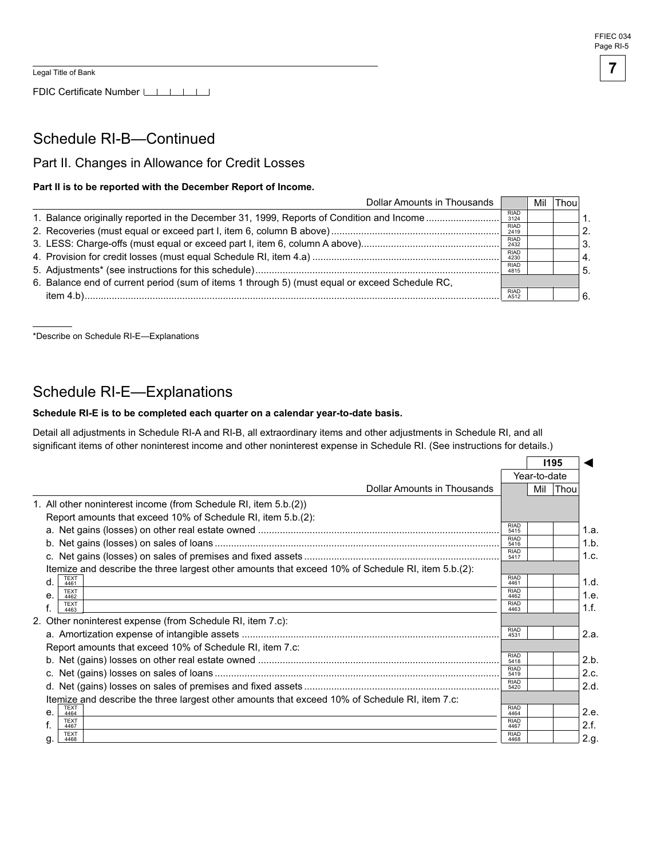FDIC Certificate Number LLLLLLL

### Schedule RI-B—Continued

### Part II. Changes in Allowance for Credit Losses

#### Part II is to be reported with the December Report of Income.

| <b>Dollar Amounts in Thousands</b>                                                             |                     | Mil | Thou |                  |
|------------------------------------------------------------------------------------------------|---------------------|-----|------|------------------|
| 1. Balance originally reported in the December 31, 1999, Reports of Condition and Income       | <b>RIAD</b><br>3124 |     |      | 1.               |
|                                                                                                | <b>RIAD</b><br>2419 |     |      | 2.               |
|                                                                                                | <b>RIAD</b><br>2432 |     |      | 3.               |
|                                                                                                | <b>RIAD</b><br>4230 |     |      | $\overline{A}$ . |
|                                                                                                | <b>RIAD</b><br>4815 |     |      | 5.               |
| 6. Balance end of current period (sum of items 1 through 5) (must equal or exceed Schedule RC, |                     |     |      |                  |
|                                                                                                | <b>RIAD</b><br>A512 |     |      |                  |

\*Describe on Schedule RI-E—Explanations

### Schedule RI-E—Explanations

#### Schedule RI-E is to be completed each quarter on a calendar year-to-date basis.

Detail all adjustments in Schedule RI-A and RI-B, all extraordinary items and other adjustments in Schedule RI, and all significant items of other noninterest income and other noninterest expense in Schedule RI. (See instructions for details.)

|                                                                                                    |                     |              | 1195        |      |
|----------------------------------------------------------------------------------------------------|---------------------|--------------|-------------|------|
|                                                                                                    |                     | Year-to-date |             |      |
| Dollar Amounts in Thousands                                                                        |                     | Mil          | <b>Thou</b> |      |
| 1. All other noninterest income (from Schedule RI, item 5.b.(2))                                   |                     |              |             |      |
| Report amounts that exceed 10% of Schedule RI, item 5.b.(2):                                       |                     |              |             |      |
|                                                                                                    | <b>RIAD</b><br>5415 |              |             | 1.a. |
|                                                                                                    | RIAD<br>5416        |              |             | 1.b. |
|                                                                                                    | <b>RIAD</b><br>5417 |              |             | 1.c. |
| Itemize and describe the three largest other amounts that exceed 10% of Schedule RI, item 5.b.(2): |                     |              |             |      |
| TEXT<br>4461<br>d.                                                                                 | <b>RIAD</b><br>4461 |              |             | 1.d. |
| <b>TEXT</b><br>е.<br>4462                                                                          | <b>RIAD</b><br>4462 |              |             | 1.e. |
| <b>TEXT</b><br>4463                                                                                | <b>RIAD</b><br>4463 |              |             | 1.f. |
| 2. Other noninterest expense (from Schedule RI, item 7.c):                                         |                     |              |             |      |
|                                                                                                    | <b>RIAD</b><br>4531 |              |             | 2.a. |
| Report amounts that exceed 10% of Schedule RI, item 7.c:                                           |                     |              |             |      |
|                                                                                                    | <b>RIAD</b><br>5418 |              |             | 2.b. |
|                                                                                                    | <b>RIAD</b><br>5419 |              |             | 2.c. |
|                                                                                                    | RIAD<br>5420        |              |             | 2.d. |
| Itemize and describe the three largest other amounts that exceed 10% of Schedule RI, item 7.c:     |                     |              |             |      |
| <b>TEXT</b><br>e <sub>1</sub><br>4464                                                              | <b>RIAD</b><br>4464 |              |             | 2.e. |
| <b>TEXT</b><br>4467                                                                                | <b>RIAD</b><br>4467 |              |             | 2.f. |
| <b>TEXT</b><br>4468                                                                                | <b>RIAD</b><br>4468 |              |             | 2.g. |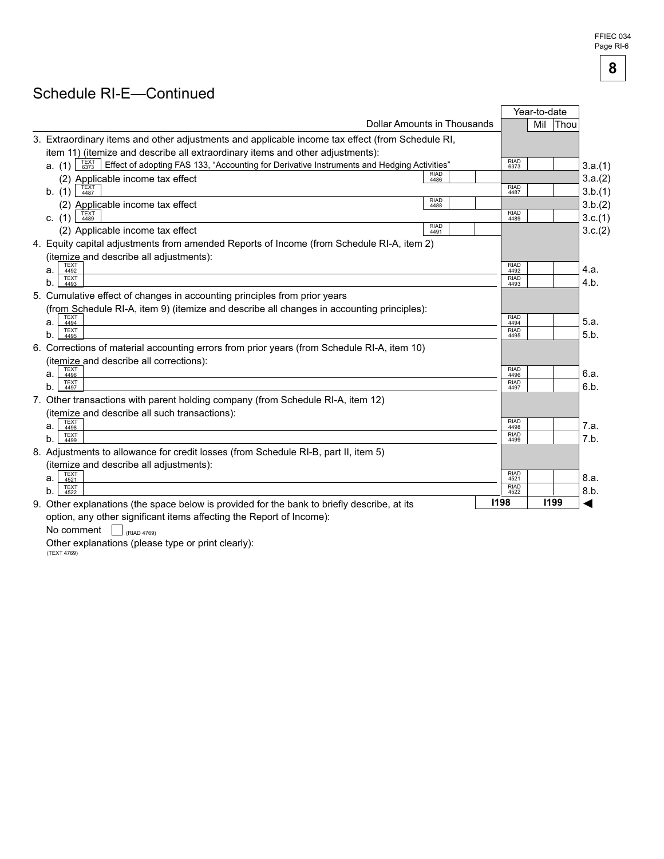FFIEC 034 Page RI-6

**8** 

# Schedule RI-E—Continued

|                                                                                                                      |                     | Year-to-date |      |         |
|----------------------------------------------------------------------------------------------------------------------|---------------------|--------------|------|---------|
| Dollar Amounts in Thousands                                                                                          |                     | Mil          | Thou |         |
| 3. Extraordinary items and other adjustments and applicable income tax effect (from Schedule RI,                     |                     |              |      |         |
| item 11) (itemize and describe all extraordinary items and other adjustments):                                       |                     |              |      |         |
| TEXT<br>6373<br>Effect of adopting FAS 133, "Accounting for Derivative Instruments and Hedging Activities"<br>a. (1) | <b>RIAD</b><br>6373 |              |      | 3.a.(1) |
| <b>RIAD</b><br>(2) Applicable income tax effect<br>4486                                                              |                     |              |      | 3.a.(2) |
| b. (1)<br>4487                                                                                                       | <b>RIAD</b><br>4487 |              |      | 3.b.(1) |
| <b>RIAD</b><br>(2) Applicable income tax effect<br>4488                                                              |                     |              |      | 3.b.(2) |
| c. $(1)$<br>4489                                                                                                     | <b>RIAD</b><br>4489 |              |      | 3.c.(1) |
| <b>RIAD</b><br>(2) Applicable income tax effect<br>4491                                                              |                     |              |      | 3.c.(2) |
| 4. Equity capital adjustments from amended Reports of Income (from Schedule RI-A, item 2)                            |                     |              |      |         |
| (itemize and describe all adjustments):                                                                              |                     |              |      |         |
| <b>TEXT</b><br>а.<br>4492                                                                                            | <b>RIAD</b><br>4492 |              |      | 4.a.    |
| <b>TEXT</b><br>b.<br>4493                                                                                            | <b>RIAD</b><br>4493 |              |      | 4.b.    |
| 5. Cumulative effect of changes in accounting principles from prior years                                            |                     |              |      |         |
| (from Schedule RI-A, item 9) (itemize and describe all changes in accounting principles):                            |                     |              |      |         |
| <b>TEXT</b><br>4494<br>а.                                                                                            | <b>RIAD</b><br>4494 |              |      | 5.a.    |
| <b>TEXT</b><br>b.<br>4495                                                                                            | <b>RIAD</b><br>4495 |              |      | 5.b.    |
| 6. Corrections of material accounting errors from prior years (from Schedule RI-A, item 10)                          |                     |              |      |         |
| (itemize and describe all corrections):                                                                              |                     |              |      |         |
| <b>TEXT</b><br>а.<br>4496                                                                                            | <b>RIAD</b><br>4496 |              |      | 6.a.    |
| <b>TEXT</b><br>b.<br>4497                                                                                            | <b>RIAD</b><br>4497 |              |      | 6.b.    |
| 7. Other transactions with parent holding company (from Schedule RI-A, item 12)                                      |                     |              |      |         |
| (itemize and describe all such transactions):                                                                        |                     |              |      |         |
| <b>TEXT</b><br>a.<br>4498                                                                                            | <b>RIAD</b><br>4498 |              |      | 7.a.    |
| TEXT<br>4499<br>b.                                                                                                   | <b>RIAD</b><br>4499 |              |      | 7.b.    |
| 8. Adjustments to allowance for credit losses (from Schedule RI-B, part II, item 5)                                  |                     |              |      |         |
| (itemize and describe all adjustments):                                                                              |                     |              |      |         |
| <b>TEXT</b><br>4521<br>а.                                                                                            | <b>RIAD</b><br>4521 |              |      | 8.a.    |
| <b>TEXT</b><br>b.<br>4522                                                                                            | <b>RIAD</b><br>4522 |              |      | 8.b.    |
| 9. Other explanations (the space below is provided for the bank to briefly describe, at its                          | 1198                |              | 1199 |         |
| option, any other significant items affecting the Report of Income):                                                 |                     |              |      |         |

option, any other significar<br>No comment  $\Box$  (RIAD 4769)

Other explanations (please type or print clearly):<br>(TEXT 4769)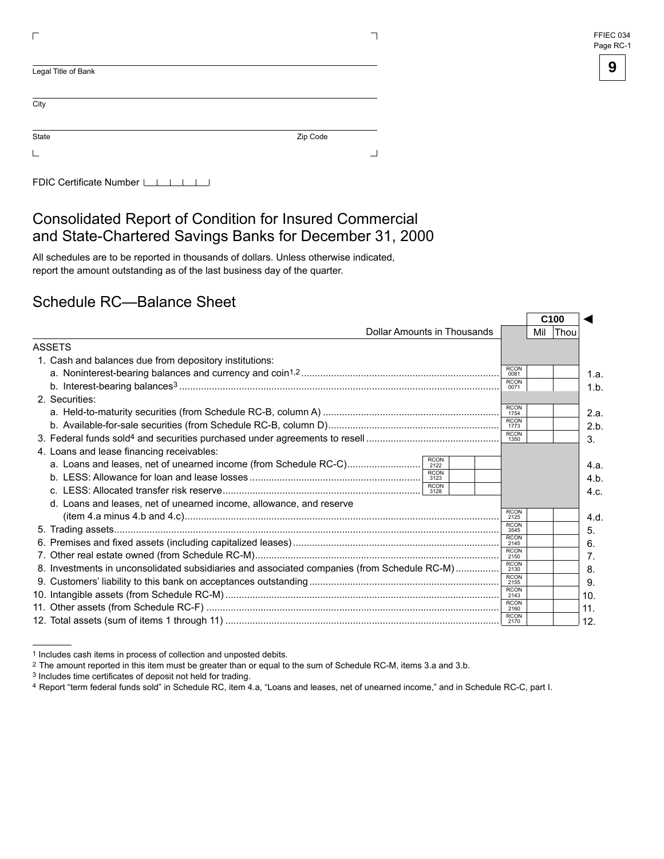| FFIEC 034 |
|-----------|
| Page RC-1 |

| Legal Title of Bank |          |
|---------------------|----------|
| City                |          |
| State               | Zip Code |
|                     |          |

| FDIC Certificate Number LILILILI |  |  |  |  |  |  |
|----------------------------------|--|--|--|--|--|--|
|----------------------------------|--|--|--|--|--|--|

### Consolidated Report of Condition for Insured Commercial and State-Chartered Savings Banks for December 31, 2000

All schedules are to be reported in thousands of dollars. Unless otherwise indicated, report the amount outstanding as of the last business day of the quarter.

### Schedule RC—Balance Sheet

|                                                                                             |                     | C <sub>100</sub> |          |
|---------------------------------------------------------------------------------------------|---------------------|------------------|----------|
| Dollar Amounts in Thousands                                                                 |                     |                  | Mil Thou |
| ASSETS                                                                                      |                     |                  |          |
| 1. Cash and balances due from depository institutions:                                      |                     |                  |          |
|                                                                                             | <b>RCON</b><br>0081 |                  |          |
|                                                                                             | <b>RCON</b><br>0071 |                  |          |
| 2. Securities:                                                                              |                     |                  |          |
|                                                                                             | <b>RCON</b><br>1754 |                  |          |
|                                                                                             | <b>RCON</b><br>1773 |                  |          |
|                                                                                             | <b>RCON</b><br>1350 |                  |          |
| 4. Loans and lease financing receivables:                                                   |                     |                  |          |
| <b>RCON</b><br>2122                                                                         |                     |                  |          |
| <b>RCON</b><br>3123                                                                         |                     |                  |          |
| <b>RCON</b><br>3128                                                                         |                     |                  |          |
| d. Loans and leases, net of unearned income, allowance, and reserve                         |                     |                  |          |
|                                                                                             | <b>RCON</b><br>2125 |                  |          |
|                                                                                             | <b>RCON</b><br>3545 |                  |          |
|                                                                                             | <b>RCON</b><br>2145 |                  |          |
|                                                                                             | <b>RCON</b><br>2150 |                  |          |
| 8. Investments in unconsolidated subsidiaries and associated companies (from Schedule RC-M) | <b>RCON</b><br>2130 |                  |          |
|                                                                                             | <b>RCON</b><br>2155 |                  |          |
|                                                                                             | <b>RCON</b><br>2143 |                  |          |
|                                                                                             | <b>RCON</b><br>2160 |                  |          |
|                                                                                             | <b>RCON</b><br>2170 |                  |          |

<sup>1</sup> Includes cash items in process of collection and unposted debits.

<sup>&</sup>lt;sup>2</sup> The amount reported in this item must be greater than or equal to the sum of Schedule RC-M, items 3.a and 3.b. <sup>3</sup> Includes time certificates of deposit not held for trading.

<sup>4</sup> Report "term federal funds sold" in Schedule RC, item 4.a, "Loans and leases, net of unearned income," and in Schedule RC-C, part I.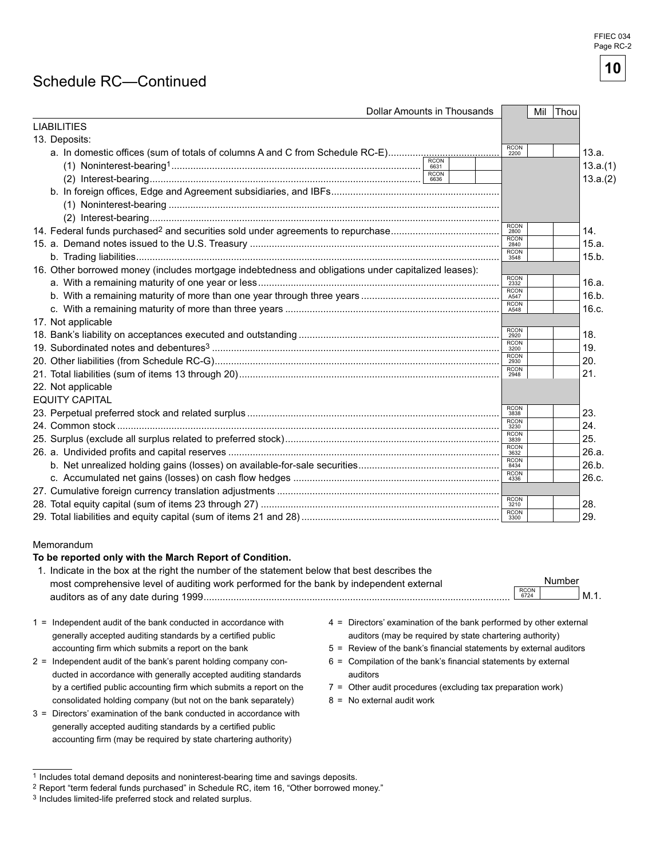FFIEC 034 Page RC-2

# **10**

# Schedule RC—Continued

| <b>LIABILITIES</b>                                                                                                                                                                                                                                                                                                        |                                                                                                                                                                                                                                                                                    |              |          |
|---------------------------------------------------------------------------------------------------------------------------------------------------------------------------------------------------------------------------------------------------------------------------------------------------------------------------|------------------------------------------------------------------------------------------------------------------------------------------------------------------------------------------------------------------------------------------------------------------------------------|--------------|----------|
|                                                                                                                                                                                                                                                                                                                           |                                                                                                                                                                                                                                                                                    |              |          |
| 13. Deposits:                                                                                                                                                                                                                                                                                                             |                                                                                                                                                                                                                                                                                    |              |          |
|                                                                                                                                                                                                                                                                                                                           |                                                                                                                                                                                                                                                                                    | RCON<br>2200 | 13.a.    |
|                                                                                                                                                                                                                                                                                                                           |                                                                                                                                                                                                                                                                                    |              | 13.a.(1) |
|                                                                                                                                                                                                                                                                                                                           | RCON<br>6636                                                                                                                                                                                                                                                                       |              | 13.a.(2) |
|                                                                                                                                                                                                                                                                                                                           |                                                                                                                                                                                                                                                                                    |              |          |
|                                                                                                                                                                                                                                                                                                                           |                                                                                                                                                                                                                                                                                    |              |          |
|                                                                                                                                                                                                                                                                                                                           |                                                                                                                                                                                                                                                                                    |              |          |
|                                                                                                                                                                                                                                                                                                                           |                                                                                                                                                                                                                                                                                    | RCON<br>2800 | 14.      |
|                                                                                                                                                                                                                                                                                                                           |                                                                                                                                                                                                                                                                                    | RCON<br>2840 | 15.a.    |
|                                                                                                                                                                                                                                                                                                                           |                                                                                                                                                                                                                                                                                    | RCON<br>3548 | 15.b.    |
| 16. Other borrowed money (includes mortgage indebtedness and obligations under capitalized leases):                                                                                                                                                                                                                       |                                                                                                                                                                                                                                                                                    |              |          |
|                                                                                                                                                                                                                                                                                                                           |                                                                                                                                                                                                                                                                                    | RCON<br>2332 | 16.a.    |
|                                                                                                                                                                                                                                                                                                                           |                                                                                                                                                                                                                                                                                    | RCON<br>A547 | 16.b.    |
|                                                                                                                                                                                                                                                                                                                           |                                                                                                                                                                                                                                                                                    | RCON<br>A548 | 16.c.    |
|                                                                                                                                                                                                                                                                                                                           |                                                                                                                                                                                                                                                                                    |              |          |
| 17. Not applicable                                                                                                                                                                                                                                                                                                        |                                                                                                                                                                                                                                                                                    | RCON<br>2920 |          |
|                                                                                                                                                                                                                                                                                                                           |                                                                                                                                                                                                                                                                                    | RCON<br>3200 | 18.      |
|                                                                                                                                                                                                                                                                                                                           |                                                                                                                                                                                                                                                                                    | RCON<br>2930 | 19.      |
|                                                                                                                                                                                                                                                                                                                           |                                                                                                                                                                                                                                                                                    | RCON<br>2948 | 20.      |
|                                                                                                                                                                                                                                                                                                                           |                                                                                                                                                                                                                                                                                    |              | 21.      |
| 22. Not applicable                                                                                                                                                                                                                                                                                                        |                                                                                                                                                                                                                                                                                    |              |          |
| <b>EQUITY CAPITAL</b>                                                                                                                                                                                                                                                                                                     |                                                                                                                                                                                                                                                                                    |              |          |
|                                                                                                                                                                                                                                                                                                                           |                                                                                                                                                                                                                                                                                    | RCON<br>3838 | 23.      |
|                                                                                                                                                                                                                                                                                                                           |                                                                                                                                                                                                                                                                                    | RCON<br>3230 | 24.      |
|                                                                                                                                                                                                                                                                                                                           |                                                                                                                                                                                                                                                                                    | RCON<br>3839 | 25.      |
|                                                                                                                                                                                                                                                                                                                           |                                                                                                                                                                                                                                                                                    | RCON<br>3632 | 26.a.    |
|                                                                                                                                                                                                                                                                                                                           |                                                                                                                                                                                                                                                                                    | RCON<br>8434 | 26.b.    |
|                                                                                                                                                                                                                                                                                                                           |                                                                                                                                                                                                                                                                                    | RCON<br>4336 | 26.c.    |
|                                                                                                                                                                                                                                                                                                                           |                                                                                                                                                                                                                                                                                    |              |          |
|                                                                                                                                                                                                                                                                                                                           |                                                                                                                                                                                                                                                                                    | RCON<br>3210 | 28.      |
|                                                                                                                                                                                                                                                                                                                           |                                                                                                                                                                                                                                                                                    | RCON<br>3300 | 29.      |
| Memorandum<br>To be reported only with the March Report of Condition.<br>1. Indicate in the box at the right the number of the statement below that best describes the                                                                                                                                                    |                                                                                                                                                                                                                                                                                    |              |          |
| most comprehensive level of auditing work performed for the bank by independent external                                                                                                                                                                                                                                  |                                                                                                                                                                                                                                                                                    | Number       |          |
|                                                                                                                                                                                                                                                                                                                           |                                                                                                                                                                                                                                                                                    | RCON<br>6724 | M.1.     |
| 1 = Independent audit of the bank conducted in accordance with<br>generally accepted auditing standards by a certified public<br>accounting firm which submits a report on the bank<br>2 = Independent audit of the bank's parent holding company con-<br>ducted in accordance with generally accepted auditing standards | 4 = Directors' examination of the bank performed by other external<br>auditors (may be required by state chartering authority)<br>5 = Review of the bank's financial statements by external auditors<br>6 = Compilation of the bank's financial statements by external<br>auditors |              |          |

- by a certified public accounting firm which submits a report on the 7 = Other audit procedures (excluding tax preparation work)
- consolidated holding company (but not on the bank separately)  $8 = No$  external audit work

<sup>3 =</sup> Directors' examination of the bank conducted in accordance with generally accepted auditing standards by a certified public accounting firm (may be required by state chartering authority)

<sup>1</sup> Includes total demand deposits and noninterest-bearing time and savings deposits.

<sup>2</sup> Report "term federal funds purchased" in Schedule RC, item 16, "Other borrowed money."

<sup>3</sup> Includes limited-life preferred stock and related surplus.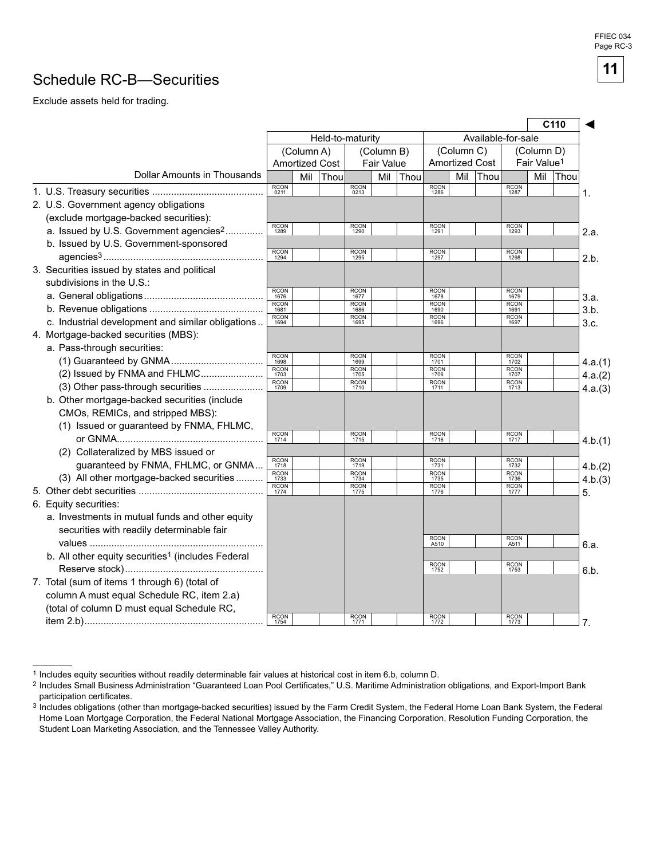# Schedule RC-B—Securities

Exclude assets held for trading.

|                                                               |                     |                       |      |                     |                   |                    |                     |            |                       | C <sub>110</sub>    |                         |      |
|---------------------------------------------------------------|---------------------|-----------------------|------|---------------------|-------------------|--------------------|---------------------|------------|-----------------------|---------------------|-------------------------|------|
|                                                               | Held-to-maturity    |                       |      |                     |                   | Available-for-sale |                     |            |                       |                     |                         |      |
|                                                               |                     | (Column A)            |      |                     | (Column B)        |                    |                     | (Column C) |                       |                     | (Column D)              |      |
|                                                               |                     | <b>Amortized Cost</b> |      |                     | <b>Fair Value</b> |                    |                     |            | <b>Amortized Cost</b> |                     | Fair Value <sup>1</sup> |      |
| Dollar Amounts in Thousands                                   |                     | Mil                   | Thou |                     | Mil               | Thou               |                     | Mil        | Thou                  |                     | Mil                     | Thou |
|                                                               | <b>RCON</b><br>0211 |                       |      | <b>RCON</b><br>0213 |                   |                    | RCON<br>1286        |            |                       | RCON<br>1287        |                         |      |
| 2. U.S. Government agency obligations                         |                     |                       |      |                     |                   |                    |                     |            |                       |                     |                         |      |
| (exclude mortgage-backed securities):                         |                     |                       |      |                     |                   |                    |                     |            |                       |                     |                         |      |
| a. Issued by U.S. Government agencies <sup>2</sup>            | <b>RCON</b><br>1289 |                       |      | <b>RCON</b><br>1290 |                   |                    | RCON<br>1291        |            |                       | RCON<br>1293        |                         |      |
| b. Issued by U.S. Government-sponsored                        |                     |                       |      |                     |                   |                    |                     |            |                       |                     |                         |      |
|                                                               | RCON<br>1294        |                       |      | RCON<br>1295        |                   |                    | RCON<br>1297        |            |                       | RCON<br>1298        |                         |      |
| 3. Securities issued by states and political                  |                     |                       |      |                     |                   |                    |                     |            |                       |                     |                         |      |
| subdivisions in the U.S.:                                     |                     |                       |      |                     |                   |                    |                     |            |                       |                     |                         |      |
|                                                               | RCON<br>1676        |                       |      | RCON<br>1677        |                   |                    | RCON<br>1678        |            |                       | RCON<br>1679        |                         |      |
|                                                               | <b>RCON</b><br>1681 |                       |      | <b>RCON</b><br>1686 |                   |                    | <b>RCON</b><br>1690 |            |                       | <b>RCON</b><br>1691 |                         |      |
| c. Industrial development and similar obligations             | <b>RCON</b><br>1694 |                       |      | <b>RCON</b><br>1695 |                   |                    | <b>RCON</b><br>1696 |            |                       | <b>RCON</b><br>1697 |                         |      |
| 4. Mortgage-backed securities (MBS):                          |                     |                       |      |                     |                   |                    |                     |            |                       |                     |                         |      |
| a. Pass-through securities:                                   |                     |                       |      |                     |                   |                    |                     |            |                       |                     |                         |      |
|                                                               | <b>RCON</b><br>1698 |                       |      | <b>RCON</b><br>1699 |                   |                    | RCON<br>1701        |            |                       | <b>RCON</b><br>1702 |                         |      |
| (2) Issued by FNMA and FHLMC                                  | RCON<br>1703        |                       |      | <b>RCON</b><br>1705 |                   |                    | <b>RCON</b><br>1706 |            |                       | RCON<br>1707        |                         |      |
| (3) Other pass-through securities                             | <b>RCON</b><br>1709 |                       |      | <b>RCON</b><br>1710 |                   |                    | RCON<br>1711        |            |                       | RCON<br>1713        |                         |      |
| b. Other mortgage-backed securities (include                  |                     |                       |      |                     |                   |                    |                     |            |                       |                     |                         |      |
| CMOs, REMICs, and stripped MBS):                              |                     |                       |      |                     |                   |                    |                     |            |                       |                     |                         |      |
| (1) Issued or guaranteed by FNMA, FHLMC,                      |                     |                       |      |                     |                   |                    |                     |            |                       |                     |                         |      |
|                                                               | RCON<br>1714        |                       |      | <b>RCON</b><br>1715 |                   |                    | RCON<br>1716        |            |                       | RCON<br>1717        |                         |      |
| (2) Collateralized by MBS issued or                           |                     |                       |      |                     |                   |                    |                     |            |                       |                     |                         |      |
| guaranteed by FNMA, FHLMC, or GNMA                            | <b>RCON</b><br>1718 |                       |      | <b>RCON</b><br>1719 |                   |                    | RCON<br>1731        |            |                       | <b>RCON</b><br>1732 |                         |      |
| (3) All other mortgage-backed securities                      | RCON<br>1733        |                       |      | <b>RCON</b><br>1734 |                   |                    | <b>RCON</b><br>1735 |            |                       | <b>RCON</b><br>1736 |                         |      |
|                                                               | RCON<br>1774        |                       |      | RCON<br>1775        |                   |                    | <b>RCON</b><br>1776 |            |                       | RCON<br>1777        |                         |      |
| 6. Equity securities:                                         |                     |                       |      |                     |                   |                    |                     |            |                       |                     |                         |      |
| a. Investments in mutual funds and other equity               |                     |                       |      |                     |                   |                    |                     |            |                       |                     |                         |      |
| securities with readily determinable fair                     |                     |                       |      |                     |                   |                    |                     |            |                       |                     |                         |      |
|                                                               |                     |                       |      |                     |                   |                    | <b>RCON</b><br>A510 |            |                       | <b>RCON</b><br>A511 |                         |      |
| b. All other equity securities <sup>1</sup> (includes Federal |                     |                       |      |                     |                   |                    |                     |            |                       |                     |                         |      |
|                                                               |                     |                       |      |                     |                   |                    | RCON<br>1752        |            |                       | RCON<br>1753        |                         |      |
| 7. Total (sum of items 1 through 6) (total of                 |                     |                       |      |                     |                   |                    |                     |            |                       |                     |                         |      |
| column A must equal Schedule RC, item 2.a)                    |                     |                       |      |                     |                   |                    |                     |            |                       |                     |                         |      |
| (total of column D must equal Schedule RC,                    |                     |                       |      |                     |                   |                    |                     |            |                       |                     |                         |      |
|                                                               | <b>RCON</b><br>1754 |                       |      | <b>RCON</b><br>1771 |                   |                    | <b>RCON</b><br>1772 |            |                       | <b>RCON</b><br>1773 |                         |      |

<sup>1</sup> Includes equity securities without readily determinable fair values at historical cost in item 6.b, column D.

<sup>&</sup>lt;sup>2</sup> Includes Small Business Administration "Guaranteed Loan Pool Certificates," U.S. Maritime Administration obligations, and Export-Import Bank participation certificates.

<sup>3</sup> Includes obligations (other than mortgage-backed securities) issued by the Farm Credit System, the Federal Home Loan Bank System, the Federal Home Loan Mortgage Corporation, the Federal National Mortgage Association, the Financing Corporation, Resolution Funding Corporation, the Student Loan Marketing Association, and the Tennessee Valley Authority.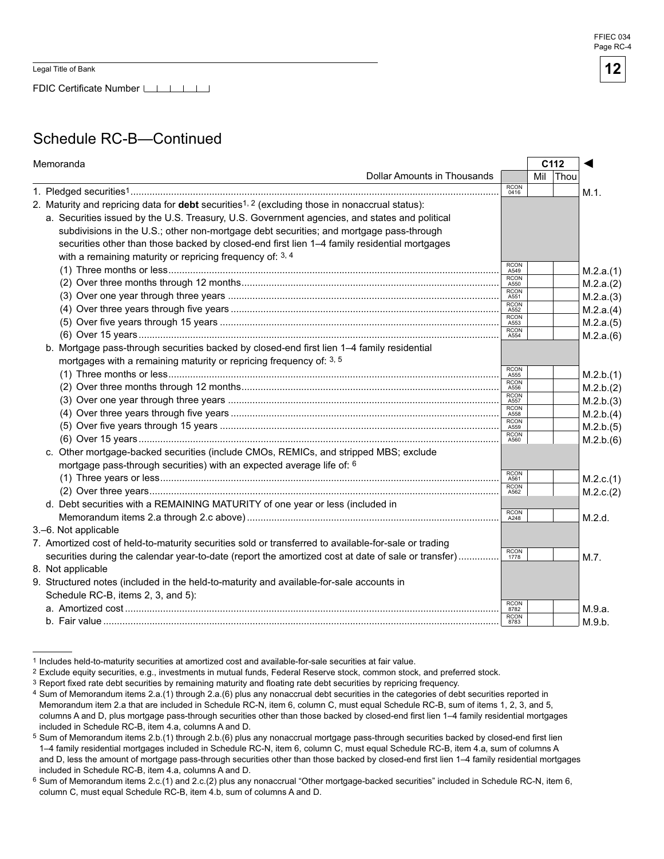FDIC Certificate Number LILLI

# Schedule RC-B—Continued

| Dollar Amounts in Thousands<br>Thou<br>Mil<br><b>RCON</b><br>M.1.<br>0416<br>2. Maturity and repricing data for <b>debt</b> securities <sup>1, 2</sup> (excluding those in nonaccrual status):<br>a. Securities issued by the U.S. Treasury, U.S. Government agencies, and states and political<br>subdivisions in the U.S.; other non-mortgage debt securities; and mortgage pass-through<br>securities other than those backed by closed-end first lien 1-4 family residential mortgages<br>with a remaining maturity or repricing frequency of: 3, 4<br><b>RCON</b><br>M.2.a.(1)<br>A549 |  |
|---------------------------------------------------------------------------------------------------------------------------------------------------------------------------------------------------------------------------------------------------------------------------------------------------------------------------------------------------------------------------------------------------------------------------------------------------------------------------------------------------------------------------------------------------------------------------------------------|--|
|                                                                                                                                                                                                                                                                                                                                                                                                                                                                                                                                                                                             |  |
|                                                                                                                                                                                                                                                                                                                                                                                                                                                                                                                                                                                             |  |
|                                                                                                                                                                                                                                                                                                                                                                                                                                                                                                                                                                                             |  |
|                                                                                                                                                                                                                                                                                                                                                                                                                                                                                                                                                                                             |  |
|                                                                                                                                                                                                                                                                                                                                                                                                                                                                                                                                                                                             |  |
|                                                                                                                                                                                                                                                                                                                                                                                                                                                                                                                                                                                             |  |
|                                                                                                                                                                                                                                                                                                                                                                                                                                                                                                                                                                                             |  |
|                                                                                                                                                                                                                                                                                                                                                                                                                                                                                                                                                                                             |  |
| <b>RCON</b><br>M.2.a.(2)<br>A550                                                                                                                                                                                                                                                                                                                                                                                                                                                                                                                                                            |  |
| <b>RCON</b><br>M.2.a.(3)<br>A551                                                                                                                                                                                                                                                                                                                                                                                                                                                                                                                                                            |  |
| <b>RCON</b><br>M.2.a.(4)<br>A552                                                                                                                                                                                                                                                                                                                                                                                                                                                                                                                                                            |  |
| <b>RCON</b><br>M.2.a.(5)<br>A553                                                                                                                                                                                                                                                                                                                                                                                                                                                                                                                                                            |  |
| <b>RCON</b><br>M.2.a.(6)<br>A554                                                                                                                                                                                                                                                                                                                                                                                                                                                                                                                                                            |  |
| b. Mortgage pass-through securities backed by closed-end first lien 1-4 family residential                                                                                                                                                                                                                                                                                                                                                                                                                                                                                                  |  |
| mortgages with a remaining maturity or repricing frequency of: 3, 5                                                                                                                                                                                                                                                                                                                                                                                                                                                                                                                         |  |
| <b>RCON</b><br>M.2.b.(1)<br>A555                                                                                                                                                                                                                                                                                                                                                                                                                                                                                                                                                            |  |
| <b>RCON</b><br>M.2.b.(2)<br>A556                                                                                                                                                                                                                                                                                                                                                                                                                                                                                                                                                            |  |
| RCON<br>A557<br>M.2.b.(3)                                                                                                                                                                                                                                                                                                                                                                                                                                                                                                                                                                   |  |
| <b>RCON</b><br>M.2.b.(4)<br>A558                                                                                                                                                                                                                                                                                                                                                                                                                                                                                                                                                            |  |
| <b>RCON</b><br>M.2.b.(5)<br>A559                                                                                                                                                                                                                                                                                                                                                                                                                                                                                                                                                            |  |
| <b>RCON</b><br>M.2.b.(6)<br>A560                                                                                                                                                                                                                                                                                                                                                                                                                                                                                                                                                            |  |
| c. Other mortgage-backed securities (include CMOs, REMICs, and stripped MBS; exclude                                                                                                                                                                                                                                                                                                                                                                                                                                                                                                        |  |
| mortgage pass-through securities) with an expected average life of: 6                                                                                                                                                                                                                                                                                                                                                                                                                                                                                                                       |  |
| <b>RCON</b><br>M.2.c.(1)<br>A561                                                                                                                                                                                                                                                                                                                                                                                                                                                                                                                                                            |  |
| <b>RCON</b><br>M.2.c.(2)<br>A562                                                                                                                                                                                                                                                                                                                                                                                                                                                                                                                                                            |  |
| d. Debt securities with a REMAINING MATURITY of one year or less (included in                                                                                                                                                                                                                                                                                                                                                                                                                                                                                                               |  |
| <b>RCON</b><br>M.2.d.<br>A248                                                                                                                                                                                                                                                                                                                                                                                                                                                                                                                                                               |  |
| 3.-6. Not applicable                                                                                                                                                                                                                                                                                                                                                                                                                                                                                                                                                                        |  |
| 7. Amortized cost of held-to-maturity securities sold or transferred to available-for-sale or trading                                                                                                                                                                                                                                                                                                                                                                                                                                                                                       |  |
| <b>RCON</b><br>securities during the calendar year-to-date (report the amortized cost at date of sale or transfer)<br>M.7.<br>1778                                                                                                                                                                                                                                                                                                                                                                                                                                                          |  |
| 8. Not applicable                                                                                                                                                                                                                                                                                                                                                                                                                                                                                                                                                                           |  |
| 9. Structured notes (included in the held-to-maturity and available-for-sale accounts in                                                                                                                                                                                                                                                                                                                                                                                                                                                                                                    |  |
| Schedule RC-B, items 2, 3, and 5):                                                                                                                                                                                                                                                                                                                                                                                                                                                                                                                                                          |  |
| RCON<br>8782<br>M.9.a.                                                                                                                                                                                                                                                                                                                                                                                                                                                                                                                                                                      |  |
| <b>RCON</b><br>M.9.b.<br>8783                                                                                                                                                                                                                                                                                                                                                                                                                                                                                                                                                               |  |

<sup>1</sup> Includes held-to-maturity securities at amortized cost and available-for-sale securities at fair value.

Exclude equity securities, e.g., investments in mutual funds, Federal Reserve stock, common stock, and preferred stock.

<sup>&</sup>lt;sup>3</sup> Report fixed rate debt securities by remaining maturity and floating rate debt securities by repricing frequency.

<sup>4</sup> Sum of Memorandum items 2.a.(1) through 2.a.(6) plus any nonaccrual debt securities in the categories of debt securities reported in Memorandum item 2.a that are included in Schedule RC-N, item 6, column C, must equal Schedule RC-B, sum of items 1, 2, 3, and 5, columns A and D, plus mortgage pass-through securities other than those backed by closed-end first lien 1–4 family residential mortgages included in Schedule RC-B, item 4.a, columns A and D.

 $5$  Sum of Memorandum items  $2.b.(1)$  through  $2.b.(6)$  plus any nonaccrual mortgage pass-through securities backed by closed-end first lien 1–4 family residential mortgages included in Schedule RC-N, item 6, column C, must equal Schedule RC-B, item 4.a, sum of columns A and D, less the amount of mortgage pass-through securities other than those backed by closed-end first lien 1–4 family residential mortgages included in Schedule RC-B, item 4.a, columns A and D.

<sup>6</sup> Sum of Memorandum items 2.c.(1) and 2.c.(2) plus any nonaccrual "Other mortgage-backed securities" included in Schedule RC-N, item 6, column C, must equal Schedule RC-B, item 4.b, sum of columns A and D.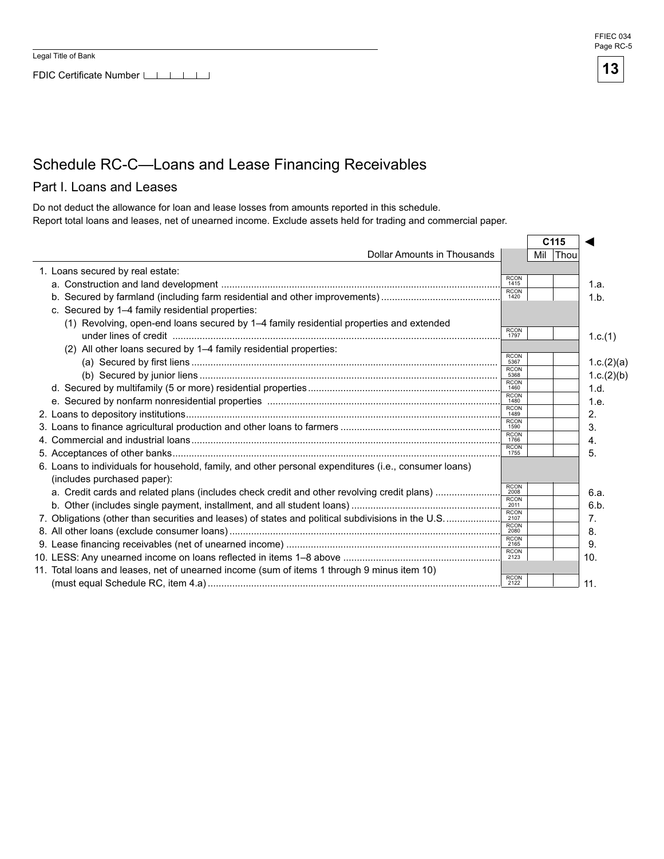



### Schedule RC-C—Loans and Lease Financing Receivables

### Part I. Loans and Leases

Do not deduct the allowance for loan and lease losses from amounts reported in this schedule. Report total loans and leases, net of unearned income. Exclude assets held for trading and commercial paper.

|                                                                                                       |                     |     | C <sub>115</sub> |            |
|-------------------------------------------------------------------------------------------------------|---------------------|-----|------------------|------------|
| Dollar Amounts in Thousands                                                                           |                     | Mil | Thou             |            |
| 1. Loans secured by real estate:                                                                      |                     |     |                  |            |
|                                                                                                       | <b>RCON</b><br>1415 |     |                  | 1.a.       |
|                                                                                                       | <b>RCON</b><br>1420 |     |                  | 1.b.       |
| c. Secured by 1-4 family residential properties:                                                      |                     |     |                  |            |
| (1) Revolving, open-end loans secured by 1-4 family residential properties and extended               |                     |     |                  |            |
|                                                                                                       | <b>RCON</b><br>1797 |     |                  | 1.c.(1)    |
| (2) All other loans secured by 1-4 family residential properties:                                     |                     |     |                  |            |
|                                                                                                       | <b>RCON</b><br>5367 |     |                  | 1.c.(2)(a) |
|                                                                                                       | <b>RCON</b><br>5368 |     |                  | 1.c.(2)(b) |
|                                                                                                       | <b>RCON</b><br>1460 |     |                  | 1.d.       |
|                                                                                                       | <b>RCON</b><br>1480 |     |                  | 1.e.       |
|                                                                                                       | <b>RCON</b><br>1489 |     |                  | 2.         |
|                                                                                                       | <b>RCON</b><br>1590 |     |                  | 3.         |
|                                                                                                       | <b>RCON</b><br>1766 |     |                  | 4.         |
|                                                                                                       | <b>RCON</b><br>1755 |     |                  | 5.         |
| 6. Loans to individuals for household, family, and other personal expenditures (i.e., consumer loans) |                     |     |                  |            |
| (includes purchased paper):                                                                           |                     |     |                  |            |
| a. Credit cards and related plans (includes check credit and other revolving credit plans)            | <b>RCON</b><br>2008 |     |                  | 6.a.       |
|                                                                                                       | <b>RCON</b><br>2011 |     |                  | 6.b.       |
| 7. Obligations (other than securities and leases) of states and political subdivisions in the U.S     | <b>RCON</b><br>2107 |     |                  | 7.         |
|                                                                                                       | <b>RCON</b><br>2080 |     |                  | 8.         |
|                                                                                                       | <b>RCON</b><br>2165 |     |                  | 9.         |
|                                                                                                       | <b>RCON</b><br>2123 |     |                  | 10.        |
| 11. Total loans and leases, net of unearned income (sum of items 1 through 9 minus item 10)           |                     |     |                  |            |
|                                                                                                       | <b>RCON</b><br>2122 |     |                  | 11.        |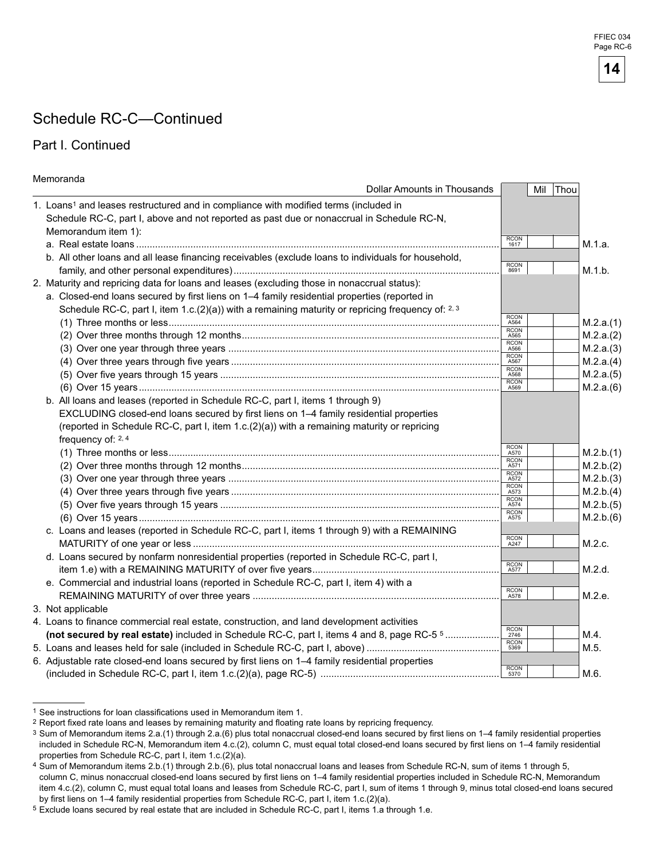# Schedule RC-C—Continued

### Part I. Continued

| Memoranda                                                                                           |                     |     |      |           |
|-----------------------------------------------------------------------------------------------------|---------------------|-----|------|-----------|
| Dollar Amounts in Thousands                                                                         |                     | Mil | Thou |           |
| 1. Loans1 and leases restructured and in compliance with modified terms (included in                |                     |     |      |           |
| Schedule RC-C, part I, above and not reported as past due or nonaccrual in Schedule RC-N,           |                     |     |      |           |
| Memorandum item 1):                                                                                 |                     |     |      |           |
|                                                                                                     | RCON<br>1617        |     |      | M.1.a.    |
| b. All other loans and all lease financing receivables (exclude loans to individuals for household, |                     |     |      |           |
|                                                                                                     | RCON<br>8691        |     |      | M.1.b.    |
| 2. Maturity and repricing data for loans and leases (excluding those in nonaccrual status):         |                     |     |      |           |
| a. Closed-end loans secured by first liens on 1-4 family residential properties (reported in        |                     |     |      |           |
| Schedule RC-C, part I, item 1.c.(2)(a)) with a remaining maturity or repricing frequency of: $2.3$  |                     |     |      |           |
|                                                                                                     | RCON<br>A564        |     |      | M.2.a.(1) |
|                                                                                                     | <b>RCON</b><br>A565 |     |      | M.2.a.(2) |
|                                                                                                     | <b>RCON</b><br>A566 |     |      | M.2.a.(3) |
|                                                                                                     | RCON<br>A567        |     |      | M.2.a.(4) |
|                                                                                                     | <b>RCON</b><br>A568 |     |      | M.2.a.(5) |
|                                                                                                     | RCON<br>A569        |     |      | M.2.a.(6) |
| b. All loans and leases (reported in Schedule RC-C, part I, items 1 through 9)                      |                     |     |      |           |
| EXCLUDING closed-end loans secured by first liens on 1-4 family residential properties              |                     |     |      |           |
| (reported in Schedule RC-C, part I, item 1.c.(2)(a)) with a remaining maturity or repricing         |                     |     |      |           |
| frequency of: 2, 4                                                                                  |                     |     |      |           |
|                                                                                                     | RCON<br>A570        |     |      | M.2.b.(1) |
|                                                                                                     | RCON<br>A571        |     |      | M.2.b.(2) |
|                                                                                                     | RCON<br>A572        |     |      | M.2.b.(3) |
|                                                                                                     | RCON<br>A573        |     |      | M.2.b.(4) |
|                                                                                                     | RCON<br>A574        |     |      | M.2.b.(5) |
|                                                                                                     | <b>RCON</b><br>A575 |     |      | M.2.b.(6) |
| c. Loans and leases (reported in Schedule RC-C, part I, items 1 through 9) with a REMAINING         |                     |     |      |           |
|                                                                                                     | RCON<br>A247        |     |      | M.2.c.    |
| d. Loans secured by nonfarm nonresidential properties (reported in Schedule RC-C, part I,           |                     |     |      |           |
|                                                                                                     | RCON<br>A577        |     |      | M.2.d.    |
| e. Commercial and industrial loans (reported in Schedule RC-C, part I, item 4) with a               |                     |     |      |           |
|                                                                                                     | RCON<br>A578        |     |      | M.2.e.    |
| 3. Not applicable                                                                                   |                     |     |      |           |
| 4. Loans to finance commercial real estate, construction, and land development activities           |                     |     |      |           |
| (not secured by real estate) included in Schedule RC-C, part I, items 4 and 8, page RC-5 5          | <b>RCON</b><br>2746 |     |      | M.4.      |
|                                                                                                     | RCON<br>5369        |     |      | M.5.      |
| 6. Adjustable rate closed-end loans secured by first liens on 1-4 family residential properties     |                     |     |      |           |
|                                                                                                     | RCON<br>5370        |     |      | M.6.      |

<sup>1</sup> See instructions for loan classifications used in Memorandum item 1.



<sup>&</sup>lt;sup>2</sup> Report fixed rate loans and leases by remaining maturity and floating rate loans by repricing frequency.

<sup>3</sup> Sum of Memorandum items 2.a.(1) through 2.a.(6) plus total nonaccrual closed-end loans secured by first liens on 1-4 family residential properties included in Schedule RC-N, Memorandum item 4.c.(2), column C, must equal total closed-end loans secured by first liens on 1-4 family residential properties from Schedule RC-C, part I, item 1.c.(2)(a).

Sum of Memorandum items 2.b.(1) through 2.b.(6), plus total nonaccrual loans and leases from Schedule RC-N, sum of items 1 through 5, column C, minus nonaccrual closed-end loans secured by first liens on 1-4 family residential properties included in Schedule RC-N, Memorandum item 4.c.(2), column C, must equal total loans and leases from Schedule RC-C, part I, sum of items 1 through 9, minus total closed-end loans secured by first liens on 1–4 family residential properties from Schedule RC-C, part I, item 1.c.(2)(a).

<sup>5</sup> Exclude loans secured by real estate that are included in Schedule RC-C, part I, items 1.a through 1.e.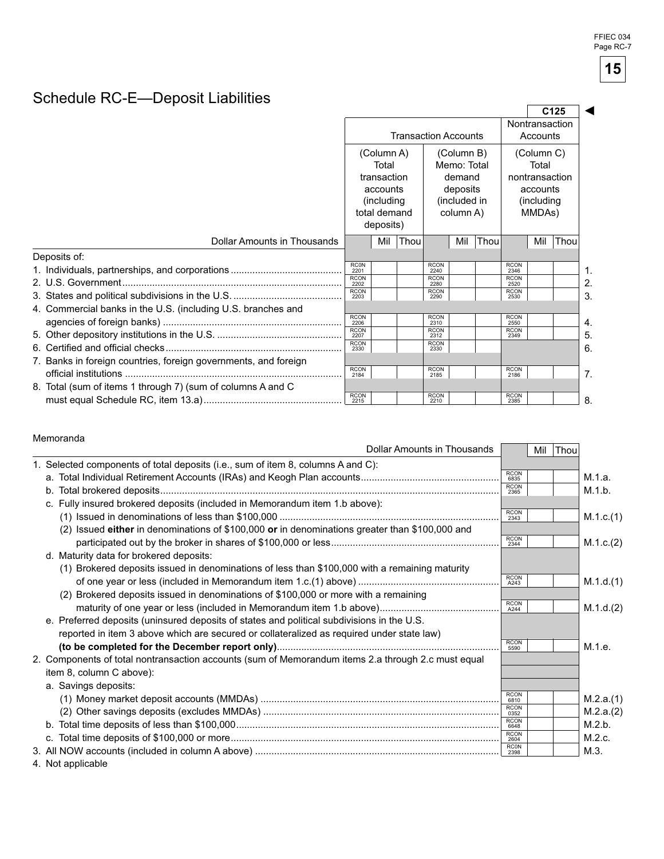# Schedule RC-E—Deposit Liabilities

|                                                                 |                                                                                 |                                    |                             |                               |                                     |      |                            |                     | C <sub>125</sub> |    |
|-----------------------------------------------------------------|---------------------------------------------------------------------------------|------------------------------------|-----------------------------|-------------------------------|-------------------------------------|------|----------------------------|---------------------|------------------|----|
|                                                                 |                                                                                 |                                    | <b>Transaction Accounts</b> |                               |                                     |      | Nontransaction<br>Accounts |                     |                  |    |
|                                                                 |                                                                                 | (Column A)<br>Total<br>transaction |                             |                               | (Column B)<br>Memo: Total<br>demand |      |                            | (Column C)<br>Total |                  |    |
|                                                                 | deposits<br>accounts<br>(including<br>(included in<br>column A)<br>total demand |                                    |                             | nontransaction<br>(including) | accounts<br>MMDAs)                  |      |                            |                     |                  |    |
|                                                                 |                                                                                 | deposits)                          |                             |                               |                                     |      |                            |                     |                  |    |
| Dollar Amounts in Thousands                                     |                                                                                 | Mil                                | Thou                        |                               | Mil                                 | Thou |                            | Mil                 | Thou             |    |
| Deposits of:                                                    |                                                                                 |                                    |                             |                               |                                     |      |                            |                     |                  |    |
|                                                                 | <b>RCON</b><br>2201                                                             |                                    |                             | <b>RCON</b><br>2240           |                                     |      | <b>RCON</b><br>2346        |                     |                  | .1 |
|                                                                 | <b>RCON</b><br>2202                                                             |                                    |                             | <b>RCON</b><br>2280           |                                     |      | <b>RCON</b><br>2520        |                     |                  | 2. |
|                                                                 | <b>RCON</b><br>2203                                                             |                                    |                             | <b>RCON</b><br>2290           |                                     |      | <b>RCON</b><br>2530        |                     |                  | 3. |
| 4. Commercial banks in the U.S. (including U.S. branches and    |                                                                                 |                                    |                             |                               |                                     |      |                            |                     |                  |    |
|                                                                 | <b>RCON</b><br>2206                                                             |                                    |                             | <b>RCON</b><br>2310           |                                     |      | <b>RCON</b><br>2550        |                     |                  | 4. |
|                                                                 | <b>RCON</b><br>2207                                                             |                                    |                             | <b>RCON</b><br>2312           |                                     |      | <b>RCON</b><br>2349        |                     |                  | 5. |
|                                                                 | <b>RCON</b><br>2330                                                             |                                    |                             | <b>RCON</b><br>2330           |                                     |      |                            |                     |                  | 6. |
| 7. Banks in foreign countries, foreign governments, and foreign | <b>RCON</b><br>2184                                                             |                                    |                             | <b>RCON</b><br>2185           |                                     |      | <b>RCON</b><br>2186        |                     |                  | 7. |
| 8. Total (sum of items 1 through 7) (sum of columns A and C     |                                                                                 |                                    |                             |                               |                                     |      |                            |                     |                  |    |
|                                                                 | <b>RCON</b><br>2215                                                             |                                    |                             | <b>RCON</b><br>2210           |                                     |      | <b>RCON</b><br>2385        |                     |                  | 8. |

#### Memoranda

| <b>Dollar Amounts in Thousands</b>                                                                                                                                                                                            |                     | Mil Thou |           |
|-------------------------------------------------------------------------------------------------------------------------------------------------------------------------------------------------------------------------------|---------------------|----------|-----------|
| 1. Selected components of total deposits (i.e., sum of item 8, columns A and C):                                                                                                                                              |                     |          |           |
|                                                                                                                                                                                                                               | <b>RCON</b><br>6835 |          | M.1.a.    |
|                                                                                                                                                                                                                               | <b>RCON</b><br>2365 |          | M.1.b.    |
| c. Fully insured brokered deposits (included in Memorandum item 1.b above):                                                                                                                                                   |                     |          |           |
|                                                                                                                                                                                                                               | <b>RCON</b><br>2343 |          | M.1.c.(1) |
| (2) Issued either in denominations of $$100,000$ or in denominations greater than $$100,000$ and                                                                                                                              | <b>RCON</b>         |          |           |
|                                                                                                                                                                                                                               | 2344                |          | M.1.c.(2) |
| d. Maturity data for brokered deposits:                                                                                                                                                                                       |                     |          |           |
| (1) Brokered deposits issued in denominations of less than \$100,000 with a remaining maturity                                                                                                                                |                     |          |           |
|                                                                                                                                                                                                                               | RCON<br>A243        |          | M.1.d.(1) |
| (2) Brokered deposits issued in denominations of \$100,000 or more with a remaining                                                                                                                                           |                     |          |           |
|                                                                                                                                                                                                                               | <b>RCON</b><br>A244 |          | M.1.d.(2) |
| e. Preferred deposits (uninsured deposits of states and political subdivisions in the U.S.                                                                                                                                    |                     |          |           |
| reported in item 3 above which are secured or collateralized as required under state law)                                                                                                                                     |                     |          |           |
|                                                                                                                                                                                                                               | <b>RCON</b><br>5590 |          | M.1.e.    |
| 2. Components of total nontransaction accounts (sum of Memorandum items 2.a through 2.c must equal                                                                                                                            |                     |          |           |
| item 8, column C above):                                                                                                                                                                                                      |                     |          |           |
| a. Savings deposits:                                                                                                                                                                                                          |                     |          |           |
|                                                                                                                                                                                                                               | <b>RCON</b><br>6810 |          | M.2.a.(1) |
|                                                                                                                                                                                                                               | <b>RCON</b><br>0352 |          | M.2.a.(2) |
|                                                                                                                                                                                                                               | <b>RCON</b><br>6648 |          | M.2.b.    |
|                                                                                                                                                                                                                               | <b>RCON</b><br>2604 |          | M.2.c.    |
|                                                                                                                                                                                                                               | <b>RC0N</b><br>2398 |          | M.3.      |
| $\bf{A}$ . A light is a self-see light in the second state of the second state of the second state of the second state of the second state of the second state of the second state of the second state of the second state of |                     |          |           |

4. Not applicable

**15**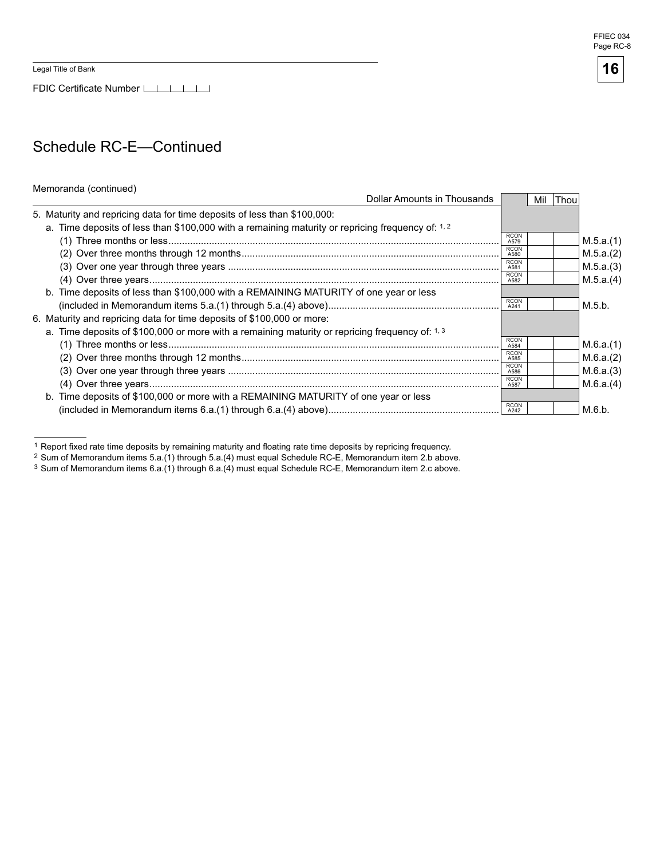FDIC Certificate Number

### Schedule RC-E—Continued

#### Memoranda (continued)

| Dollar Amounts in Thousands                                                                       |                     | Mil | <b>Thou</b> |           |
|---------------------------------------------------------------------------------------------------|---------------------|-----|-------------|-----------|
| 5. Maturity and repricing data for time deposits of less than \$100,000:                          |                     |     |             |           |
| a. Time deposits of less than \$100,000 with a remaining maturity or repricing frequency of: 1, 2 |                     |     |             |           |
|                                                                                                   | <b>RCON</b><br>A579 |     |             | M.5.a.(1) |
|                                                                                                   | <b>RCON</b><br>A580 |     |             | M.5.a.(2) |
|                                                                                                   | <b>RCON</b><br>A581 |     |             | M.5.a.(3) |
|                                                                                                   | <b>RCON</b><br>A582 |     |             | M.5.a.(4) |
| b. Time deposits of less than \$100,000 with a REMAINING MATURITY of one year or less             |                     |     |             |           |
|                                                                                                   | <b>RCON</b><br>A241 |     |             | M.5.b.    |
| 6. Maturity and repricing data for time deposits of \$100,000 or more:                            |                     |     |             |           |
| a. Time deposits of \$100,000 or more with a remaining maturity or repricing frequency of: 1, 3   |                     |     |             |           |
|                                                                                                   | <b>RCON</b><br>A584 |     |             | M.6.a.(1) |
|                                                                                                   | <b>RCON</b><br>A585 |     |             | M.6.a.(2) |
|                                                                                                   | <b>RCON</b><br>A586 |     |             | M.6.a.(3) |
|                                                                                                   | <b>RCON</b><br>A587 |     |             | M.6.a.(4) |
| b. Time deposits of \$100,000 or more with a REMAINING MATURITY of one year or less               |                     |     |             |           |
|                                                                                                   | <b>RCON</b>         |     |             | M.6.b.    |

 1 Report fixed rate time deposits by remaining maturity and floating rate time deposits by repricing frequency.

3 Sum of Memorandum items 6.a.(1) through 6.a.(4) must equal Schedule RC-E, Memorandum item 2.c above.

<sup>2</sup> Sum of Memorandum items 5.a.(1) through 5.a.(4) must equal Schedule RC-E, Memorandum item 2.b above.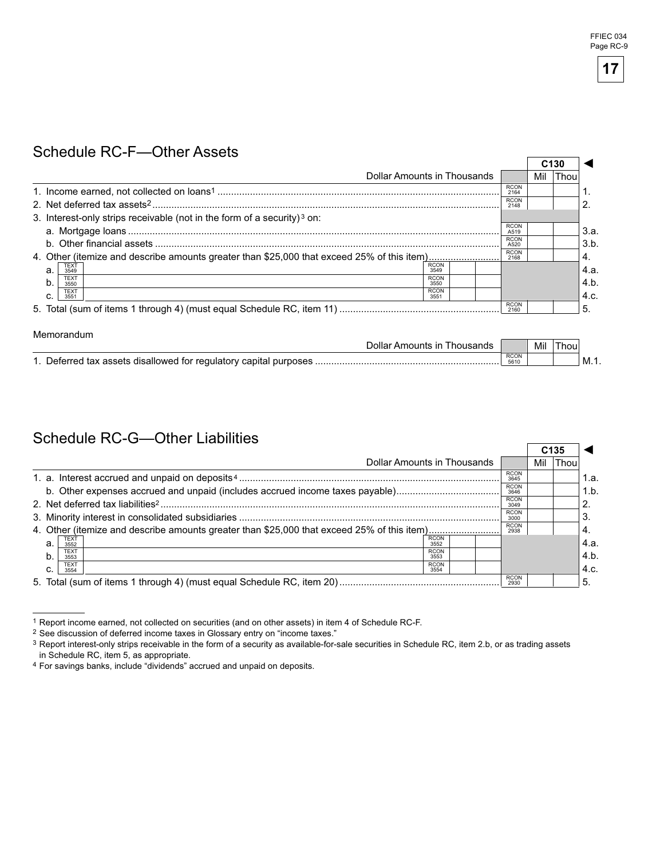# Schedule RC-F—Other Assets

|                                                                                            |                             |                     |     | C <sub>130</sub> |      |
|--------------------------------------------------------------------------------------------|-----------------------------|---------------------|-----|------------------|------|
|                                                                                            | Dollar Amounts in Thousands |                     | Mil | Thou             |      |
|                                                                                            |                             | <b>RCON</b><br>2164 |     |                  |      |
|                                                                                            |                             | <b>RCON</b><br>2148 |     |                  |      |
| 3. Interest-only strips receivable (not in the form of a security) <sup>3</sup> on:        |                             |                     |     |                  |      |
|                                                                                            |                             | <b>RCON</b><br>A519 |     |                  | 3.a. |
|                                                                                            |                             | <b>RCON</b><br>A520 |     |                  | 3.b. |
| 4. Other (itemize and describe amounts greater than \$25,000 that exceed 25% of this item) |                             | <b>RCON</b><br>2168 |     |                  | 4.   |
| <b>TEXT</b><br>a.<br>3549                                                                  | <b>RCON</b><br>3549         |                     |     |                  | 4.a. |
| <b>TEXT</b><br>b.<br>3550                                                                  | <b>RCON</b><br>3550         |                     |     |                  | 4.b. |
| <b>TEXT</b><br>C.<br>3551                                                                  | <b>RCON</b><br>3551         |                     |     |                  | 4.c. |
|                                                                                            |                             | <b>RCON</b><br>2160 |     |                  | 5.   |
|                                                                                            |                             |                     |     |                  |      |
| Memorandum                                                                                 |                             |                     |     |                  |      |

| .<br>Dollar Amounts in ⊺<br><b>Inousands</b>                   |                     | Mil | <b>Inou</b> |        |
|----------------------------------------------------------------|---------------------|-----|-------------|--------|
| Deferred tax assets disallowed for regulatory capital purposes | <b>RCON</b><br>5610 |     |             | . M.T. |

### Schedule RC-G—Other Liabilities

|                                                                                                                   |                     |  |                     | C <sub>135</sub> |             |      |
|-------------------------------------------------------------------------------------------------------------------|---------------------|--|---------------------|------------------|-------------|------|
| Dollar Amounts in Thousands                                                                                       |                     |  |                     | Mil              | <b>Thou</b> |      |
|                                                                                                                   |                     |  | <b>RCON</b><br>3645 |                  |             | 1.a. |
| b. Other expenses accrued and unpaid (includes accrued income taxes payable)                                      |                     |  | <b>RCON</b><br>3646 |                  |             | 1.b. |
|                                                                                                                   | <b>RCON</b><br>3049 |  |                     | $\overline{2}$   |             |      |
| <b>RCON</b><br>3000                                                                                               |                     |  |                     |                  |             |      |
| <b>RCON</b><br>4. Other (itemize and describe amounts greater than \$25,000 that exceed 25% of this item)<br>2938 |                     |  |                     |                  |             | ۰4.  |
| TEXT<br>3552<br>a.                                                                                                | <b>RCON</b><br>3552 |  |                     |                  |             | 4.a. |
| <b>TEXT</b><br>b.<br>3553                                                                                         | <b>RCON</b><br>3553 |  |                     |                  |             | 4.b. |
| <b>TEXT</b><br>C.<br>3554                                                                                         | <b>RCON</b><br>3554 |  |                     |                  |             | 4.c. |
|                                                                                                                   |                     |  | <b>RCON</b><br>2930 |                  |             | 5.   |

<sup>1</sup> Report income earned, not collected on securities (and on other assets) in item 4 of Schedule RC-F.

4 For savings banks, include "dividends" accrued and unpaid on deposits.

<sup>2</sup> See discussion of deferred income taxes in Glossary entry on "income taxes."

<sup>3</sup> Report interest-only strips receivable in the form of a security as available-for-sale securities in Schedule RC, item 2.b, or as trading assets in Schedule RC, item 5, as appropriate.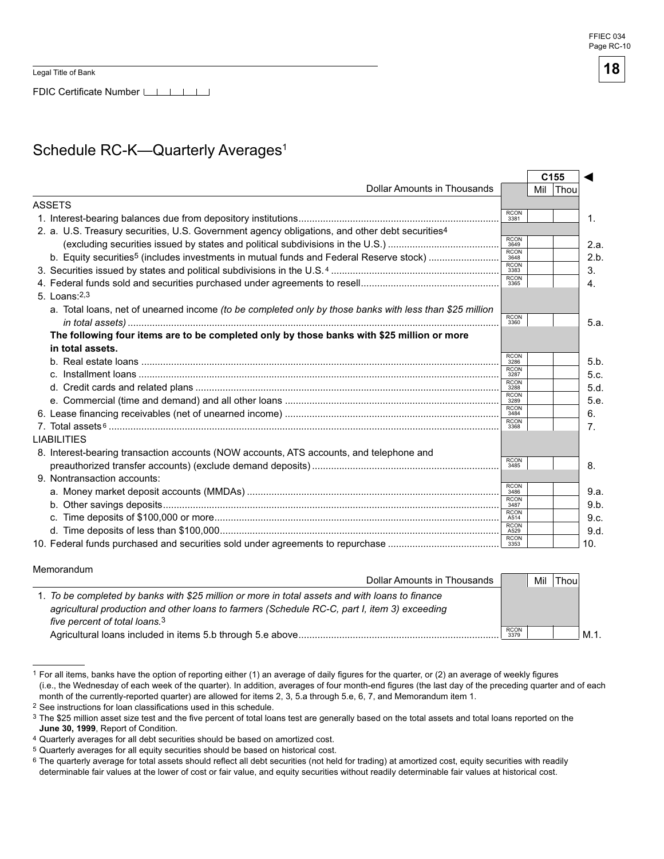Legal Title of Bank

FDIC Certificate Number LILLI

# Schedule RC-K-Quarterly Averages<sup>1</sup>

|                                                                                                            |                     |     | C <sub>155</sub> |
|------------------------------------------------------------------------------------------------------------|---------------------|-----|------------------|
| Dollar Amounts in Thousands                                                                                |                     | Mil | <b>Thou</b>      |
| <b>ASSETS</b>                                                                                              |                     |     |                  |
|                                                                                                            | <b>RCON</b><br>3381 |     |                  |
| 2. a. U.S. Treasury securities, U.S. Government agency obligations, and other debt securities <sup>4</sup> |                     |     |                  |
|                                                                                                            | <b>RCON</b><br>3649 |     |                  |
| b. Equity securities <sup>5</sup> (includes investments in mutual funds and Federal Reserve stock)         | <b>RCON</b><br>3648 |     |                  |
|                                                                                                            | RCON<br>3383        |     |                  |
|                                                                                                            | RCON<br>3365        |     |                  |
| $5.$ Loans: $2,3$                                                                                          |                     |     |                  |
| a. Total loans, net of unearned income (to be completed only by those banks with less than \$25 million    |                     |     |                  |
|                                                                                                            | RCON<br>3360        |     |                  |
| The following four items are to be completed only by those banks with \$25 million or more                 |                     |     |                  |
| in total assets.                                                                                           |                     |     |                  |
|                                                                                                            | <b>RCON</b><br>3286 |     |                  |
|                                                                                                            | <b>RCON</b><br>3287 |     |                  |
|                                                                                                            | <b>RCON</b><br>3288 |     |                  |
|                                                                                                            | <b>RCON</b><br>3289 |     |                  |
|                                                                                                            | <b>RCON</b><br>3484 |     |                  |
|                                                                                                            | <b>RCON</b><br>3368 |     |                  |
| <b>LIABILITIES</b>                                                                                         |                     |     |                  |
| 8. Interest-bearing transaction accounts (NOW accounts, ATS accounts, and telephone and                    |                     |     |                  |
|                                                                                                            | <b>RCON</b><br>3485 |     |                  |
| 9. Nontransaction accounts:                                                                                |                     |     |                  |
|                                                                                                            | <b>RCON</b><br>3486 |     |                  |
|                                                                                                            | <b>RCON</b><br>3487 |     |                  |
|                                                                                                            | <b>RCON</b><br>A514 |     |                  |
|                                                                                                            | <b>RCON</b><br>A529 |     |                  |
|                                                                                                            | <b>RCON</b><br>3353 |     |                  |

Memorandum

| Dollar Amounts in Thousands                                                                     |                     | Mil | `Thou. |      |
|-------------------------------------------------------------------------------------------------|---------------------|-----|--------|------|
| 1. To be completed by banks with \$25 million or more in total assets and with loans to finance |                     |     |        |      |
| agricultural production and other loans to farmers (Schedule RC-C, part I, item 3) exceeding    |                     |     |        |      |
| five percent of total loans. <sup>3</sup>                                                       |                     |     |        |      |
|                                                                                                 | <b>RCON</b><br>3379 |     |        | M.1. |

<sup>1</sup> For all items, banks have the option of reporting either (1) an average of daily figures for the quarter, or (2) an average of weekly figures (i.e., the Wednesday of each week of the quarter). In addition, averages of four month-end figures (the last day of the preceding quarter and of each month of the currently-reported quarter) are allowed for items 2, 3, 5.a through 5.e, 6, 7, and Memorandum item 1.

<sup>2</sup> See instructions for loan classifications used in this schedule.

<sup>&</sup>lt;sup>3</sup> The \$25 million asset size test and the five percent of total loans test are generally based on the total assets and total loans reported on the **June 30, 1999**, Report of Condition.

<sup>4</sup> Quarterly averages for all debt securities should be based on amortized cost.

<sup>5</sup> Quarterly averages for all equity securities should be based on historical cost.

<sup>&</sup>lt;sup>6</sup> The quarterly average for total assets should reflect all debt securities (not held for trading) at amortized cost, equity securities with readily determinable fair values at the lower of cost or fair value, and equity securities without readily determinable fair values at historical cost.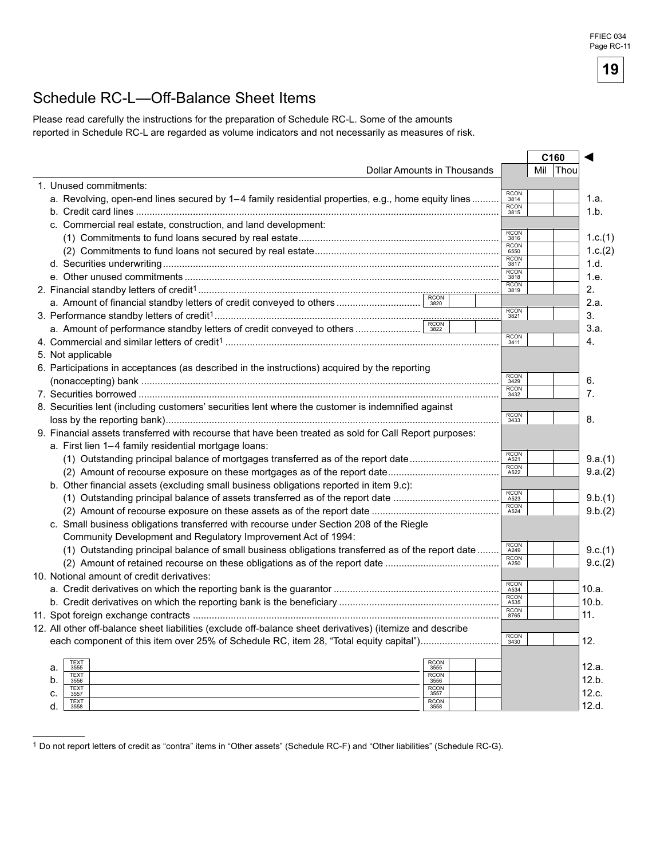### Schedule RC-L—Off-Balance Sheet Items

Please read carefully the instructions for the preparation of Schedule RC-L. Some of the amounts reported in Schedule RC-L are regarded as volume indicators and not necessarily as measures of risk.

|                                                                                                           |                     |     | C160 |         |
|-----------------------------------------------------------------------------------------------------------|---------------------|-----|------|---------|
| Dollar Amounts in Thousands                                                                               |                     | Mil | Thou |         |
| 1. Unused commitments:                                                                                    |                     |     |      |         |
| a. Revolving, open-end lines secured by 1-4 family residential properties, e.g., home equity lines        | <b>RCON</b><br>3814 |     |      | 1.a.    |
|                                                                                                           | RCON<br>3815        |     |      | 1.b.    |
| c. Commercial real estate, construction, and land development:                                            |                     |     |      |         |
|                                                                                                           | <b>RCON</b><br>3816 |     |      | 1.c.(1) |
|                                                                                                           | <b>RCON</b><br>6550 |     |      | 1.c.(2) |
|                                                                                                           | <b>RCON</b><br>3817 |     |      | 1.d.    |
|                                                                                                           | <b>RCON</b><br>3818 |     |      | 1.e.    |
|                                                                                                           | <b>RCON</b><br>3819 |     |      | 2.      |
| a. Amount of financial standby letters of credit conveyed to others                                       |                     |     |      | 2.a.    |
|                                                                                                           | <b>RCON</b><br>3821 |     |      | 3.      |
|                                                                                                           |                     |     |      | 3.a.    |
|                                                                                                           | <b>RCON</b><br>3411 |     |      | 4.      |
| 5. Not applicable                                                                                         |                     |     |      |         |
| 6. Participations in acceptances (as described in the instructions) acquired by the reporting             |                     |     |      |         |
|                                                                                                           | <b>RCON</b><br>3429 |     |      | 6.      |
|                                                                                                           | <b>RCON</b><br>3432 |     |      | 7.      |
| 8. Securities lent (including customers' securities lent where the customer is indemnified against        |                     |     |      |         |
|                                                                                                           | <b>RCON</b><br>3433 |     |      | 8.      |
| 9. Financial assets transferred with recourse that have been treated as sold for Call Report purposes:    |                     |     |      |         |
| a. First lien 1–4 family residential mortgage loans:                                                      |                     |     |      |         |
| (1) Outstanding principal balance of mortgages transferred as of the report date                          | <b>RCON</b><br>A521 |     |      | 9.a.(1) |
|                                                                                                           | <b>RCON</b><br>A522 |     |      | 9.a.(2) |
| b. Other financial assets (excluding small business obligations reported in item 9.c):                    |                     |     |      |         |
|                                                                                                           | <b>RCON</b><br>A523 |     |      | 9.b.(1) |
|                                                                                                           | <b>RCON</b><br>A524 |     |      | 9.b.(2) |
| c. Small business obligations transferred with recourse under Section 208 of the Riegle                   |                     |     |      |         |
| Community Development and Regulatory Improvement Act of 1994:                                             |                     |     |      |         |
| (1) Outstanding principal balance of small business obligations transferred as of the report date         | <b>RCON</b><br>A249 |     |      | 9.c.(1) |
|                                                                                                           | <b>RCON</b><br>A250 |     |      | 9.c.(2) |
| 10. Notional amount of credit derivatives:                                                                |                     |     |      |         |
|                                                                                                           | <b>RCON</b><br>A534 |     |      | 10.a.   |
|                                                                                                           | <b>RCON</b><br>A535 |     |      | 10.b.   |
|                                                                                                           | <b>RCON</b><br>8765 |     |      | 11.     |
| 12. All other off-balance sheet liabilities (exclude off-balance sheet derivatives) (itemize and describe |                     |     |      |         |
| each component of this item over 25% of Schedule RC, item 28, "Total equity capital")                     | <b>RCON</b><br>3430 |     |      | 12.     |
|                                                                                                           |                     |     |      |         |
| <b>TEXT</b><br><b>RCON</b><br>а.<br>3555<br>3555                                                          |                     |     |      | 12.a.   |
| <b>RCON</b><br><b>TEXT</b><br>b.<br>3556<br>3556                                                          |                     |     |      | 12.b.   |
| <b>TEXT</b><br><b>RCON</b><br>c.<br>3557<br>3557                                                          |                     |     |      | 12.c.   |
| <b>TEXT</b><br><b>RCON</b><br>d.<br>3558<br>3558                                                          |                     |     |      | 12.d.   |

<sup>1</sup> Do not report letters of credit as "contra" items in "Other assets" (Schedule RC-F) and "Other liabilities" (Schedule RC-G).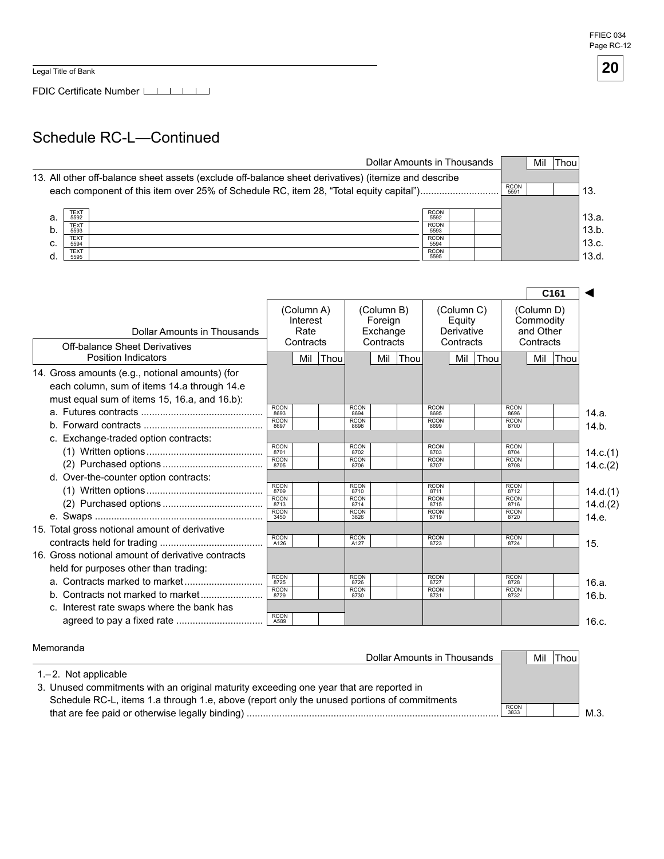Legal Title of Bank

FDIC Certificate Number

### Schedule RC-L—Continued

|    | Dollar Amounts in Thousands                                                                                                                                                                                          |                                    |  |  | Mil | <b>Thou</b> |                |  |
|----|----------------------------------------------------------------------------------------------------------------------------------------------------------------------------------------------------------------------|------------------------------------|--|--|-----|-------------|----------------|--|
|    | 13. All other off-balance sheet assets (exclude off-balance sheet derivatives) (itemize and describe<br><b>RCON</b><br>each component of this item over 25% of Schedule RC, item 28, "Total equity capital")<br>5591 |                                    |  |  |     |             |                |  |
| а. | TEXT<br>5592<br>TEXT                                                                                                                                                                                                 | <b>RCON</b><br>5592<br><b>RCON</b> |  |  |     |             | 13.a.<br>13.b. |  |
| C. | 5593<br><b>TEXT</b><br>5594                                                                                                                                                                                          | 5593<br><b>RCON</b><br>5594        |  |  |     |             | 13.c.          |  |
|    | <b>TEXT</b><br>5595                                                                                                                                                                                                  | <b>RCON</b><br>5595                |  |  |     |             | 13.d.          |  |

|                                                                                                                                                |                     |                                             |      |                     |                                                |             |                     |                                                 |      |                     |                                                   | C <sub>161</sub> |          |
|------------------------------------------------------------------------------------------------------------------------------------------------|---------------------|---------------------------------------------|------|---------------------|------------------------------------------------|-------------|---------------------|-------------------------------------------------|------|---------------------|---------------------------------------------------|------------------|----------|
| Dollar Amounts in Thousands<br><b>Off-balance Sheet Derivatives</b>                                                                            |                     | (Column A)<br>Interest<br>Rate<br>Contracts |      |                     | (Column B)<br>Foreign<br>Exchange<br>Contracts |             |                     | (Column C)<br>Equity<br>Derivative<br>Contracts |      |                     | (Column D)<br>Commodity<br>and Other<br>Contracts |                  |          |
| <b>Position Indicators</b>                                                                                                                     |                     | Mil                                         | Thou |                     | Mil                                            | <b>Thou</b> |                     | Mil                                             | Thou |                     | Mil l                                             | Thou             |          |
| 14. Gross amounts (e.g., notional amounts) (for<br>each column, sum of items 14.a through 14.e<br>must equal sum of items 15, 16.a, and 16.b): |                     |                                             |      |                     |                                                |             |                     |                                                 |      |                     |                                                   |                  |          |
|                                                                                                                                                | <b>RCON</b><br>8693 |                                             |      | <b>RCON</b><br>8694 |                                                |             | <b>RCON</b><br>8695 |                                                 |      | <b>RCON</b><br>8696 |                                                   |                  | 14.a.    |
|                                                                                                                                                | <b>RCON</b><br>8697 |                                             |      | <b>RCON</b><br>8698 |                                                |             | <b>RCON</b><br>8699 |                                                 |      | <b>RCON</b><br>8700 |                                                   |                  | 14.b.    |
| c. Exchange-traded option contracts:                                                                                                           |                     |                                             |      |                     |                                                |             |                     |                                                 |      |                     |                                                   |                  |          |
|                                                                                                                                                | <b>RCON</b><br>8701 |                                             |      | <b>RCON</b><br>8702 |                                                |             | <b>RCON</b><br>8703 |                                                 |      | <b>RCON</b><br>8704 |                                                   |                  | 14.c.(1) |
|                                                                                                                                                | <b>RCON</b><br>8705 |                                             |      | <b>RCON</b><br>8706 |                                                |             | <b>RCON</b><br>8707 |                                                 |      | <b>RCON</b><br>8708 |                                                   |                  | 14.c.(2) |
| d. Over-the-counter option contracts:                                                                                                          |                     |                                             |      |                     |                                                |             |                     |                                                 |      |                     |                                                   |                  |          |
|                                                                                                                                                | <b>RCON</b><br>8709 |                                             |      | <b>RCON</b><br>8710 |                                                |             | <b>RCON</b><br>8711 |                                                 |      | <b>RCON</b><br>8712 |                                                   |                  | 14.d.(1) |
|                                                                                                                                                | <b>RCON</b><br>8713 |                                             |      | <b>RCON</b><br>8714 |                                                |             | <b>RCON</b><br>8715 |                                                 |      | <b>RCON</b><br>8716 |                                                   |                  | 14.d.(2) |
|                                                                                                                                                | <b>RCON</b><br>3450 |                                             |      | <b>RCON</b><br>3826 |                                                |             | <b>RCON</b><br>8719 |                                                 |      | <b>RCON</b><br>8720 |                                                   |                  | 14.e.    |
| 15. Total gross notional amount of derivative                                                                                                  |                     |                                             |      |                     |                                                |             |                     |                                                 |      |                     |                                                   |                  |          |
|                                                                                                                                                | <b>RCON</b><br>A126 |                                             |      | <b>RCON</b><br>A127 |                                                |             | <b>RCON</b><br>8723 |                                                 |      | <b>RCON</b><br>8724 |                                                   |                  | 15.      |
| 16. Gross notional amount of derivative contracts                                                                                              |                     |                                             |      |                     |                                                |             |                     |                                                 |      |                     |                                                   |                  |          |
| held for purposes other than trading:                                                                                                          |                     |                                             |      |                     |                                                |             |                     |                                                 |      |                     |                                                   |                  |          |
|                                                                                                                                                | RCON<br>8725        |                                             |      | <b>RCON</b><br>8726 |                                                |             | <b>RCON</b><br>8727 |                                                 |      | <b>RCON</b><br>8728 |                                                   |                  | 16.a.    |
|                                                                                                                                                | <b>RCON</b><br>8729 |                                             |      | <b>RCON</b><br>8730 |                                                |             | <b>RCON</b><br>8731 |                                                 |      | <b>RCON</b><br>8732 |                                                   |                  | 16.b.    |
| c. Interest rate swaps where the bank has                                                                                                      |                     |                                             |      |                     |                                                |             |                     |                                                 |      |                     |                                                   |                  |          |
|                                                                                                                                                | <b>RCON</b><br>A589 |                                             |      |                     |                                                |             |                     |                                                 |      |                     |                                                   |                  | 16.c.    |

Memoranda

| Dollar Amounts in Thousands                                                                 |                     | Mil | Thou |     |
|---------------------------------------------------------------------------------------------|---------------------|-----|------|-----|
| $1 - 2$ . Not applicable                                                                    |                     |     |      |     |
| 3. Unused commitments with an original maturity exceeding one year that are reported in     |                     |     |      |     |
| Schedule RC-L, items 1.a through 1.e, above (report only the unused portions of commitments |                     |     |      |     |
|                                                                                             | <b>RCON</b><br>3833 |     |      | M.3 |
|                                                                                             |                     |     |      |     |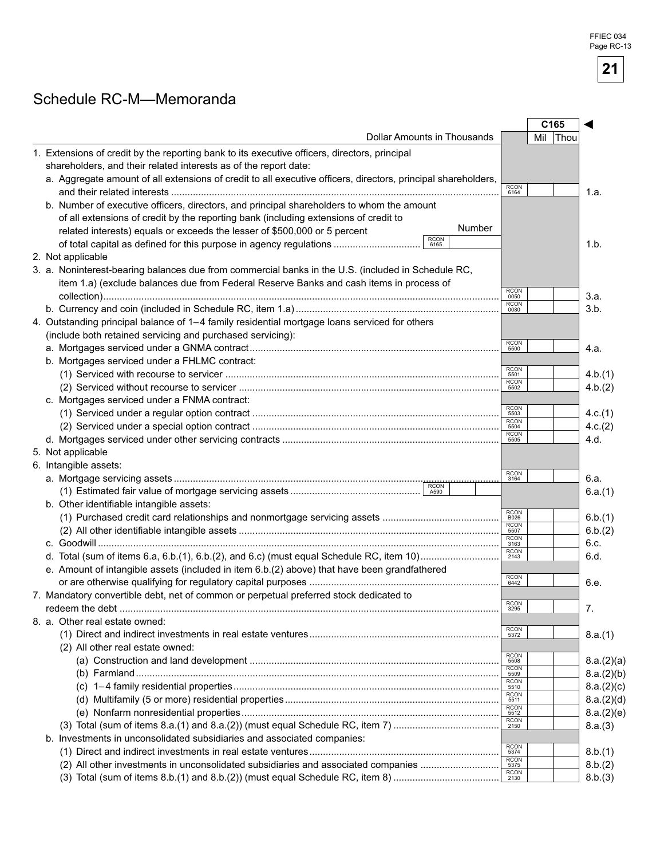FFIEC 034 Page RC-13

**21** 

### Schedule RC-M—Memoranda

|                                                                                                                                                                                             |                                                           | C165 |      |            |
|---------------------------------------------------------------------------------------------------------------------------------------------------------------------------------------------|-----------------------------------------------------------|------|------|------------|
| <b>Dollar Amounts in Thousands</b>                                                                                                                                                          |                                                           | Mil  | Thou |            |
| 1. Extensions of credit by the reporting bank to its executive officers, directors, principal<br>shareholders, and their related interests as of the report date:                           |                                                           |      |      |            |
| a. Aggregate amount of all extensions of credit to all executive officers, directors, principal shareholders,                                                                               | <b>RCON</b>                                               |      |      |            |
|                                                                                                                                                                                             | 6164                                                      |      |      | 1.a.       |
| b. Number of executive officers, directors, and principal shareholders to whom the amount<br>of all extensions of credit by the reporting bank (including extensions of credit to<br>Number |                                                           |      |      |            |
| related interests) equals or exceeds the lesser of \$500,000 or 5 percent<br><b>RCON</b>                                                                                                    |                                                           |      |      |            |
| of total capital as defined for this purpose in agency regulations<br>6165                                                                                                                  |                                                           |      |      | 1.b.       |
| 2. Not applicable                                                                                                                                                                           |                                                           |      |      |            |
| 3. a. Noninterest-bearing balances due from commercial banks in the U.S. (included in Schedule RC,                                                                                          |                                                           |      |      |            |
| item 1.a) (exclude balances due from Federal Reserve Banks and cash items in process of                                                                                                     |                                                           |      |      |            |
|                                                                                                                                                                                             | RCON<br>0050                                              |      |      | 3.a.       |
|                                                                                                                                                                                             | $\begin{array}{c} \text{RCON} \\ \text{0080} \end{array}$ |      |      | 3.b.       |
| 4. Outstanding principal balance of 1-4 family residential mortgage loans serviced for others                                                                                               |                                                           |      |      |            |
| (include both retained servicing and purchased servicing):                                                                                                                                  |                                                           |      |      |            |
|                                                                                                                                                                                             | <b>RCON</b><br>5500                                       |      |      | 4.a.       |
| b. Mortgages serviced under a FHLMC contract:                                                                                                                                               |                                                           |      |      |            |
|                                                                                                                                                                                             | <b>RCON</b><br>5501                                       |      |      | 4.b.(1)    |
|                                                                                                                                                                                             | <b>RCON</b><br>5502                                       |      |      | 4.b.(2)    |
| c. Mortgages serviced under a FNMA contract:                                                                                                                                                |                                                           |      |      |            |
|                                                                                                                                                                                             | RCON<br>5503                                              |      |      | 4.c.(1)    |
|                                                                                                                                                                                             | RCON<br>5504                                              |      |      | 4.c.(2)    |
|                                                                                                                                                                                             | <b>RCON</b><br>5505                                       |      |      | 4.d.       |
| 5. Not applicable                                                                                                                                                                           |                                                           |      |      |            |
| 6. Intangible assets:                                                                                                                                                                       |                                                           |      |      |            |
|                                                                                                                                                                                             | <b>RCON</b><br>3164                                       |      |      | 6.a.       |
| <b>RCON</b>                                                                                                                                                                                 |                                                           |      |      | 6.a.(1)    |
| b. Other identifiable intangible assets:                                                                                                                                                    |                                                           |      |      |            |
|                                                                                                                                                                                             | <b>RCON</b><br>B026                                       |      |      | 6.b.(1)    |
|                                                                                                                                                                                             | RCON<br>5507                                              |      |      | 6.b.(2)    |
|                                                                                                                                                                                             | RCON<br>3163                                              |      |      | 6.c.       |
|                                                                                                                                                                                             | RCON<br>2143                                              |      |      | 6.d.       |
| e. Amount of intangible assets (included in item 6.b.(2) above) that have been grandfathered                                                                                                |                                                           |      |      |            |
|                                                                                                                                                                                             | RCON<br>6442                                              |      |      |            |
| 7. Mandatory convertible debt, net of common or perpetual preferred stock dedicated to                                                                                                      |                                                           |      |      | 6.e.       |
|                                                                                                                                                                                             | <b>RCON</b>                                               |      |      |            |
|                                                                                                                                                                                             | 3295                                                      |      |      | 7.         |
| 8. a. Other real estate owned:                                                                                                                                                              | <b>RCON</b>                                               |      |      |            |
|                                                                                                                                                                                             | 5372                                                      |      |      | 8.a.(1)    |
| (2) All other real estate owned:                                                                                                                                                            | RCON<br>5508                                              |      |      |            |
|                                                                                                                                                                                             | <b>RCON</b>                                               |      |      | 8.a.(2)(a) |
|                                                                                                                                                                                             | 5509<br><b>RCON</b>                                       |      |      | 8.a.(2)(b) |
|                                                                                                                                                                                             | 5510<br><b>RCON</b>                                       |      |      | 8.a.(2)(c) |
|                                                                                                                                                                                             | 5511                                                      |      |      | 8.a.(2)(d) |
|                                                                                                                                                                                             | RCON<br>5512                                              |      |      | 8.a.(2)(e) |
|                                                                                                                                                                                             | RCON<br>2150                                              |      |      | 8.a.(3)    |
| b. Investments in unconsolidated subsidiaries and associated companies:                                                                                                                     |                                                           |      |      |            |
|                                                                                                                                                                                             | RCON<br>5374                                              |      |      | 8.b.(1)    |
| (2) All other investments in unconsolidated subsidiaries and associated companies                                                                                                           | RCON<br>5375                                              |      |      | 8.b.(2)    |
|                                                                                                                                                                                             | <b>RCON</b><br>2130                                       |      |      | 8.b.(3)    |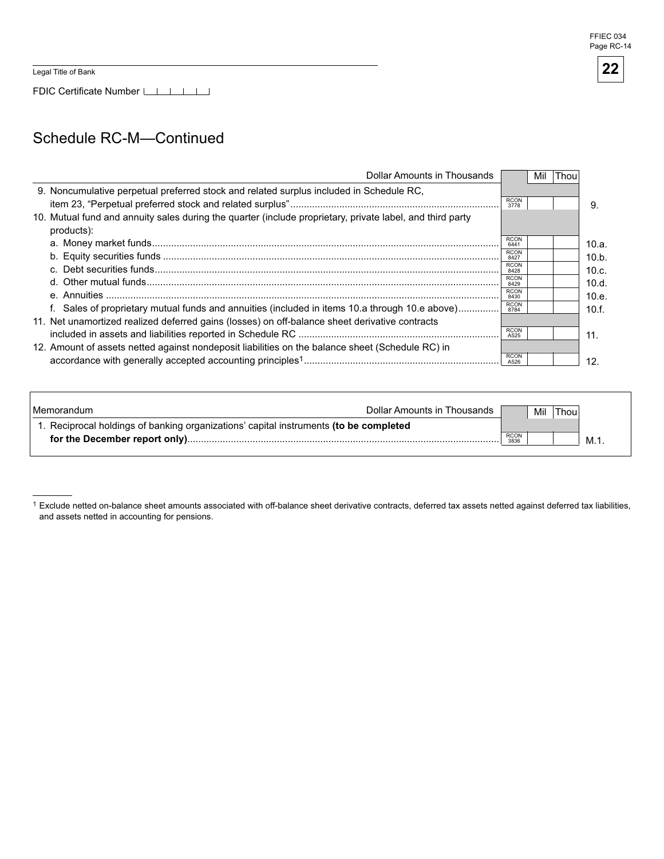Legal Title of Bank

FDIC Certificate Number

### Schedule RC-M—Continued

| Dollar Amounts in Thousands                                                                                             |                     | Mil | Thou |       |
|-------------------------------------------------------------------------------------------------------------------------|---------------------|-----|------|-------|
| 9. Noncumulative perpetual preferred stock and related surplus included in Schedule RC.                                 | <b>RCON</b><br>3778 |     |      | 9.    |
| 10. Mutual fund and annuity sales during the quarter (include proprietary, private label, and third party<br>products): |                     |     |      |       |
|                                                                                                                         | <b>RCON</b><br>6441 |     |      | 10.a. |
|                                                                                                                         | <b>RCON</b><br>8427 |     |      | 10.b. |
|                                                                                                                         | <b>RCON</b><br>8428 |     |      | 10.c. |
|                                                                                                                         | <b>RCON</b><br>8429 |     |      | 10.d. |
|                                                                                                                         | <b>RCON</b><br>8430 |     |      | 10.e. |
| f. Sales of proprietary mutual funds and annuities (included in items 10.a through 10.e above)                          | <b>RCON</b><br>8784 |     |      | 10.f. |
| 11. Net unamortized realized deferred gains (losses) on off-balance sheet derivative contracts                          |                     |     |      |       |
|                                                                                                                         | <b>RCON</b><br>A525 |     |      | 11.   |
| 12. Amount of assets netted against nondeposit liabilities on the balance sheet (Schedule RC) in                        |                     |     |      |       |
|                                                                                                                         | <b>RCON</b><br>A526 |     |      | 12.   |

| l Memorandum                                                                          | Dollar Amounts in Thousands |              | Mil | Thoul |     |
|---------------------------------------------------------------------------------------|-----------------------------|--------------|-----|-------|-----|
| 1. Reciprocal holdings of banking organizations' capital instruments (to be completed |                             |              |     |       |     |
|                                                                                       |                             | RCON<br>3836 |     |       | M.1 |
|                                                                                       |                             |              |     |       |     |

Exclude netted on-balance sheet amounts associated with off-balance sheet derivative contracts, deferred tax assets netted against deferred tax liabilities, and assets netted in accounting for pensions.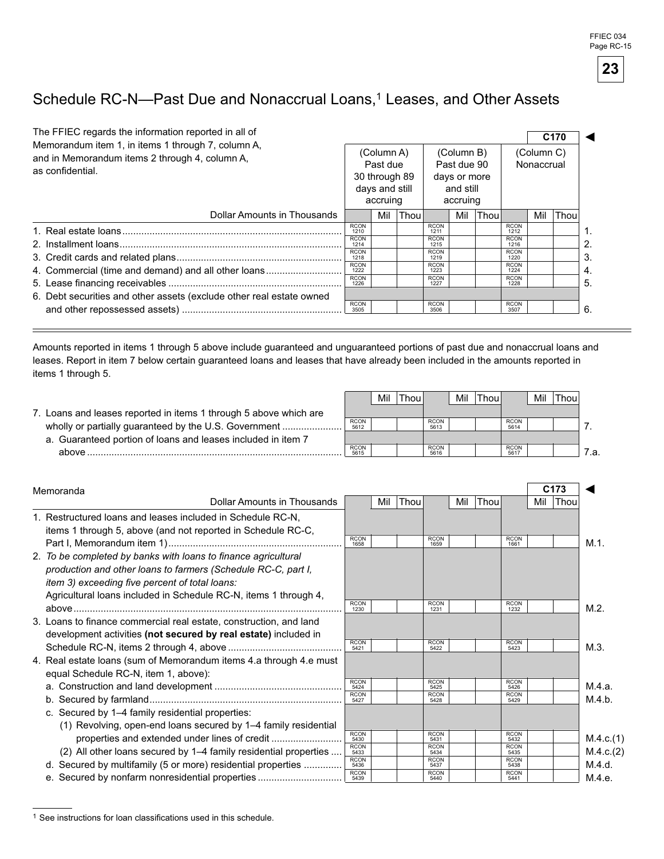FFIEC 034 Page RC-15



# Schedule RC-N--Past Due and Nonaccrual Loans,<sup>1</sup> Leases, and Other Assets

| The FFIEC regards the information reported in all of<br>Memorandum item 1, in items 1 through 7, column A,<br>and in Memorandum items 2 through 4, column A,<br>as confidential. |                     |     | (Column A)<br>Past due<br>30 through 89<br>days and still<br>accruing |                     |     | C <sub>170</sub><br>(Column B)<br>(Column C)<br>Past due 90<br>Nonaccrual<br>days or more<br>and still<br>accruing |                     |     |      |
|----------------------------------------------------------------------------------------------------------------------------------------------------------------------------------|---------------------|-----|-----------------------------------------------------------------------|---------------------|-----|--------------------------------------------------------------------------------------------------------------------|---------------------|-----|------|
| Dollar Amounts in Thousands                                                                                                                                                      |                     | Mil | Thou                                                                  |                     | Mil | <b>Thou</b>                                                                                                        |                     | Mil | Thou |
|                                                                                                                                                                                  | <b>RCON</b><br>1210 |     |                                                                       | <b>RCON</b><br>1211 |     |                                                                                                                    | <b>RCON</b><br>1212 |     |      |
|                                                                                                                                                                                  | <b>RCON</b><br>1214 |     |                                                                       | <b>RCON</b><br>1215 |     |                                                                                                                    | <b>RCON</b><br>1216 |     |      |
|                                                                                                                                                                                  | <b>RCON</b><br>1218 |     |                                                                       | <b>RCON</b><br>1219 |     |                                                                                                                    | <b>RCON</b><br>1220 |     |      |
| 4. Commercial (time and demand) and all other loans                                                                                                                              | <b>RCON</b><br>1222 |     |                                                                       | <b>RCON</b><br>1223 |     |                                                                                                                    | <b>RCON</b><br>1224 |     |      |
|                                                                                                                                                                                  | <b>RCON</b><br>1226 |     |                                                                       | <b>RCON</b><br>1227 |     |                                                                                                                    | <b>RCON</b><br>1228 |     |      |
| 6. Debt securities and other assets (exclude other real estate owned                                                                                                             | <b>RCON</b><br>3505 |     |                                                                       | <b>RCON</b><br>3506 |     |                                                                                                                    | <b>RCON</b><br>3507 |     |      |

Amounts reported in items 1 through 5 above include guaranteed and unguaranteed portions of past due and nonaccrual loans and leases. Report in item 7 below certain guaranteed loans and leases that have already been included in the amounts reported in items 1 through 5.

|                                                                  |                     | Mil | 'Thou⊾ |                     | Mil |                     | Mil | 'Thou |  |
|------------------------------------------------------------------|---------------------|-----|--------|---------------------|-----|---------------------|-----|-------|--|
| . Loans and leases reported in items 1 through 5 above which are |                     |     |        |                     |     |                     |     |       |  |
| wholly or partially guaranteed by the U.S. Government            | <b>RCON</b><br>5612 |     |        | <b>RCON</b><br>5613 |     | <b>RCON</b><br>5614 |     |       |  |
| a. Guaranteed portion of loans and leases included in item 7     |                     |     |        |                     |     |                     |     |       |  |
| ahove                                                            | <b>RCON</b><br>5615 |     |        | <b>RCON</b><br>5616 |     | <b>RCON</b><br>5617 |     |       |  |

| Memoranda                                                          |                     |     |      |                     |     |             |                     |     | C <sub>173</sub> |           |
|--------------------------------------------------------------------|---------------------|-----|------|---------------------|-----|-------------|---------------------|-----|------------------|-----------|
| <b>Dollar Amounts in Thousands</b>                                 |                     | Mil | Thou |                     | Mil | <b>Thou</b> |                     | Mil | Thou             |           |
| 1. Restructured loans and leases included in Schedule RC-N,        |                     |     |      |                     |     |             |                     |     |                  |           |
| items 1 through 5, above (and not reported in Schedule RC-C,       |                     |     |      |                     |     |             |                     |     |                  |           |
|                                                                    | <b>RCON</b><br>1658 |     |      | <b>RCON</b><br>1659 |     |             | <b>RCON</b><br>1661 |     |                  | M.1.      |
| 2. To be completed by banks with loans to finance agricultural     |                     |     |      |                     |     |             |                     |     |                  |           |
| production and other loans to farmers (Schedule RC-C, part I,      |                     |     |      |                     |     |             |                     |     |                  |           |
| <i>item 3) exceeding five percent of total loans:</i>              |                     |     |      |                     |     |             |                     |     |                  |           |
| Agricultural loans included in Schedule RC-N, items 1 through 4,   |                     |     |      |                     |     |             |                     |     |                  |           |
|                                                                    | <b>RCON</b><br>1230 |     |      | <b>RCON</b><br>1231 |     |             | <b>RCON</b><br>1232 |     |                  | M.2.      |
| 3. Loans to finance commercial real estate, construction, and land |                     |     |      |                     |     |             |                     |     |                  |           |
| development activities (not secured by real estate) included in    |                     |     |      |                     |     |             |                     |     |                  |           |
|                                                                    | <b>RCON</b><br>5421 |     |      | <b>RCON</b><br>5422 |     |             | <b>RCON</b><br>5423 |     |                  | M.3.      |
| 4. Real estate loans (sum of Memorandum items 4.a through 4.e must |                     |     |      |                     |     |             |                     |     |                  |           |
| equal Schedule RC-N, item 1, above):                               |                     |     |      |                     |     |             |                     |     |                  |           |
|                                                                    | <b>RCON</b><br>5424 |     |      | <b>RCON</b><br>5425 |     |             | <b>RCON</b><br>5426 |     |                  | M.4.a.    |
|                                                                    | <b>RCON</b><br>5427 |     |      | <b>RCON</b><br>5428 |     |             | <b>RCON</b><br>5429 |     |                  | M.4.b.    |
| c. Secured by 1-4 family residential properties:                   |                     |     |      |                     |     |             |                     |     |                  |           |
| (1) Revolving, open-end loans secured by 1–4 family residential    |                     |     |      |                     |     |             |                     |     |                  |           |
|                                                                    | <b>RCON</b><br>5430 |     |      | <b>RCON</b><br>5431 |     |             | <b>RCON</b><br>5432 |     |                  | M.4.c.(1) |
| (2) All other loans secured by 1–4 family residential properties   | <b>RCON</b><br>5433 |     |      | <b>RCON</b><br>5434 |     |             | <b>RCON</b><br>5435 |     |                  | M.4.c.(2) |
| d. Secured by multifamily (5 or more) residential properties       | <b>RCON</b><br>5436 |     |      | <b>RCON</b><br>5437 |     |             | <b>RCON</b><br>5438 |     |                  | M.4.d.    |
| e. Secured by nonfarm nonresidential properties                    | <b>RCON</b><br>5439 |     |      | <b>RCON</b><br>5440 |     |             | <b>RCON</b><br>5441 |     |                  | M.4.e.    |

 $1$  See instructions for loan classifications used in this schedule.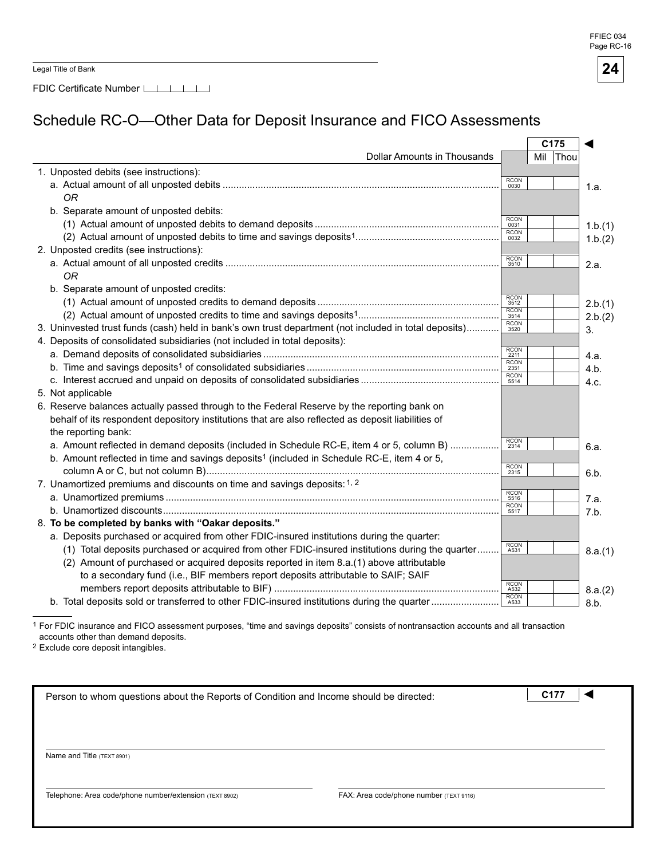**FFIEC 034** Page RC-16

| Legal Title of Bank |  |
|---------------------|--|
|---------------------|--|

FDIC Certificate Number LILILI

# Schedule RC-O—Other Data for Deposit Insurance and FICO Assessments

|                                                                                                        |                     | C175     |         |
|--------------------------------------------------------------------------------------------------------|---------------------|----------|---------|
| <b>Dollar Amounts in Thousands</b>                                                                     |                     | Mil Thou |         |
| 1. Unposted debits (see instructions):                                                                 |                     |          |         |
|                                                                                                        | <b>RCON</b><br>0030 |          | 1.a.    |
| 0R                                                                                                     |                     |          |         |
| b. Separate amount of unposted debits:                                                                 |                     |          |         |
|                                                                                                        | RCON<br>0031        |          | 1.b.(1) |
|                                                                                                        | RCON<br>0032        |          | 1.b.(2) |
| 2. Unposted credits (see instructions):                                                                |                     |          |         |
|                                                                                                        | <b>RCON</b><br>3510 |          | 2.a.    |
| 0R                                                                                                     |                     |          |         |
| b. Separate amount of unposted credits:                                                                |                     |          |         |
|                                                                                                        | RCON<br>3512        |          | 2.b.(1) |
|                                                                                                        | RCON<br>3514        |          | 2.b.(2) |
| 3. Uninvested trust funds (cash) held in bank's own trust department (not included in total deposits)  | RCON<br>3520        |          | 3.      |
| 4. Deposits of consolidated subsidiaries (not included in total deposits):                             |                     |          |         |
|                                                                                                        | <b>RCON</b><br>2211 |          | 4.a.    |
|                                                                                                        | <b>RCON</b><br>2351 |          | 4.b.    |
|                                                                                                        | <b>RCON</b><br>5514 |          | 4.c.    |
| 5. Not applicable                                                                                      |                     |          |         |
| 6. Reserve balances actually passed through to the Federal Reserve by the reporting bank on            |                     |          |         |
| behalf of its respondent depository institutions that are also reflected as deposit liabilities of     |                     |          |         |
| the reporting bank:                                                                                    |                     |          |         |
| a. Amount reflected in demand deposits (included in Schedule RC-E, item 4 or 5, column B)              | RCON<br>2314        |          | 6.a.    |
| b. Amount reflected in time and savings deposits <sup>1</sup> (included in Schedule RC-E, item 4 or 5, |                     |          |         |
|                                                                                                        | RCON<br>2315        |          | 6.b.    |
| 7. Unamortized premiums and discounts on time and savings deposits: 1, 2                               |                     |          |         |
|                                                                                                        | RCON<br>5516        |          | 7.a.    |
|                                                                                                        | RCON<br>5517        |          | 7.b.    |
| 8. To be completed by banks with "Oakar deposits."                                                     |                     |          |         |
| a. Deposits purchased or acquired from other FDIC-insured institutions during the quarter:             |                     |          |         |
| (1) Total deposits purchased or acquired from other FDIC-insured institutions during the quarter       | <b>RCON</b><br>A531 |          | 8.a.(1) |
| (2) Amount of purchased or acquired deposits reported in item 8.a.(1) above attributable               |                     |          |         |
| to a secondary fund (i.e., BIF members report deposits attributable to SAIF; SAIF                      |                     |          |         |
|                                                                                                        | RCON<br>A532        |          | 8.a.(2) |
| b. Total deposits sold or transferred to other FDIC-insured institutions during the quarter            | RCON<br>A533        |          | 8.b.    |

1 For FDIC insurance and FICO assessment purposes, "time and savings deposits" consists of nontransaction accounts and all transaction accounts other than demand deposits.

2 Exclude core deposit intangibles.

| Person to whom questions about the Reports of Condition and Income should be directed: |                                         | C17 |  |
|----------------------------------------------------------------------------------------|-----------------------------------------|-----|--|
|                                                                                        |                                         |     |  |
|                                                                                        |                                         |     |  |
|                                                                                        |                                         |     |  |
| Name and Title (TEXT 8901)                                                             |                                         |     |  |
|                                                                                        |                                         |     |  |
| Telephone: Area code/phone number/extension (TEXT 8902)                                | FAX: Area code/phone number (TEXT 9116) |     |  |
|                                                                                        |                                         |     |  |

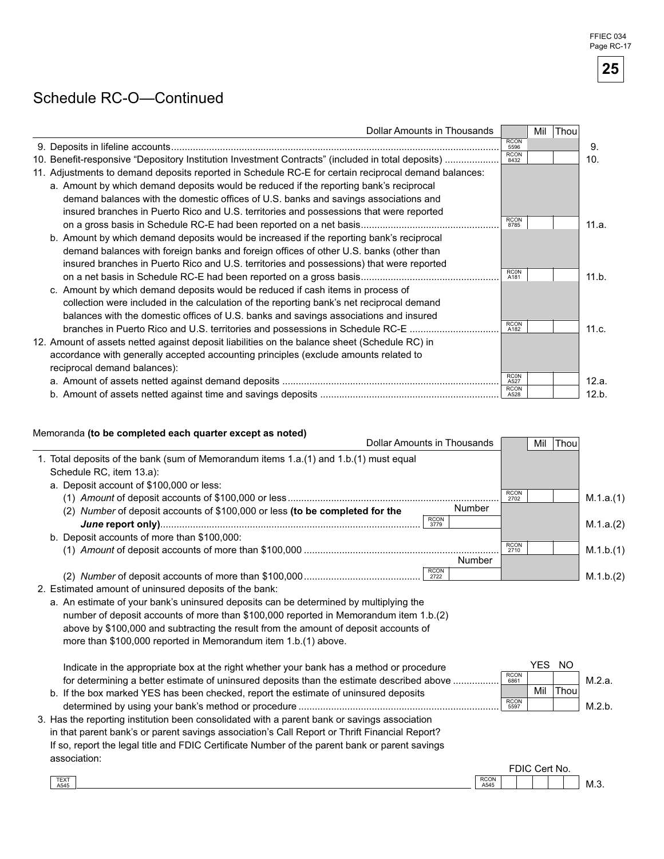### Schedule RC-O—Continued

| Dollar Amounts in Thousands                                                                          |                     | Mil | Thou |       |
|------------------------------------------------------------------------------------------------------|---------------------|-----|------|-------|
|                                                                                                      | <b>RCON</b><br>5596 |     |      | 9.    |
| 10. Benefit-responsive "Depository Institution Investment Contracts" (included in total deposits)    | <b>RCON</b><br>8432 |     |      | 10.   |
| 11. Adjustments to demand deposits reported in Schedule RC-E for certain reciprocal demand balances: |                     |     |      |       |
| a. Amount by which demand deposits would be reduced if the reporting bank's reciprocal               |                     |     |      |       |
| demand balances with the domestic offices of U.S. banks and savings associations and                 |                     |     |      |       |
| insured branches in Puerto Rico and U.S. territories and possessions that were reported              |                     |     |      |       |
|                                                                                                      | <b>RCON</b><br>8785 |     |      | 11.a. |
| b. Amount by which demand deposits would be increased if the reporting bank's reciprocal             |                     |     |      |       |
| demand balances with foreign banks and foreign offices of other U.S. banks (other than               |                     |     |      |       |
| insured branches in Puerto Rico and U.S. territories and possessions) that were reported             |                     |     |      |       |
|                                                                                                      | <b>RCON</b><br>A181 |     |      | 11.b. |
| c. Amount by which demand deposits would be reduced if cash items in process of                      |                     |     |      |       |
| collection were included in the calculation of the reporting bank's net reciprocal demand            |                     |     |      |       |
| balances with the domestic offices of U.S. banks and savings associations and insured                |                     |     |      |       |
| branches in Puerto Rico and U.S. territories and possessions in Schedule RC-E.                       | <b>RCON</b><br>A182 |     |      | 11.c. |
| 12. Amount of assets netted against deposit liabilities on the balance sheet (Schedule RC) in        |                     |     |      |       |
| accordance with generally accepted accounting principles (exclude amounts related to                 |                     |     |      |       |
| reciprocal demand balances):                                                                         |                     |     |      |       |
|                                                                                                      | <b>RC0N</b><br>A527 |     |      | 12.a. |
|                                                                                                      | <b>RCON</b><br>A528 |     |      | 12.b. |

#### Memoranda (to be completed each quarter except as noted)

| <b>Dollar Amounts in Thousands</b>                                                             | Mil<br>Thou                       |           |
|------------------------------------------------------------------------------------------------|-----------------------------------|-----------|
| 1. Total deposits of the bank (sum of Memorandum items 1.a.(1) and 1.b.(1) must equal          |                                   |           |
| Schedule RC, item 13.a):                                                                       |                                   |           |
| a. Deposit account of \$100,000 or less:                                                       |                                   |           |
|                                                                                                | <b>RCON</b><br>2702               | M.1.a.(1) |
| Number<br>Number of deposit accounts of \$100,000 or less (to be completed for the<br>(2)      |                                   |           |
| <b>RCON</b><br>3779                                                                            |                                   | M.1.a.(2) |
| b. Deposit accounts of more than \$100,000:                                                    |                                   |           |
|                                                                                                | <b>RCON</b><br>2710               | M.1.b.(1) |
| Number                                                                                         |                                   |           |
| <b>RCON</b><br>2722                                                                            |                                   | M.1.b.(2) |
| 2. Estimated amount of uninsured deposits of the bank:                                         |                                   |           |
| a. An estimate of your bank's uninsured deposits can be determined by multiplying the          |                                   |           |
| number of deposit accounts of more than \$100,000 reported in Memorandum item 1.b.(2)          |                                   |           |
| above by \$100,000 and subtracting the result from the amount of deposit accounts of           |                                   |           |
| more than \$100,000 reported in Memorandum item 1.b.(1) above.                                 |                                   |           |
|                                                                                                |                                   |           |
| Indicate in the appropriate box at the right whether your bank has a method or procedure       | YES NO<br><b>RCON</b>             |           |
| for determining a better estimate of uninsured deposits than the estimate described above      | 6861                              | M.2.a.    |
| b. If the box marked YES has been checked, report the estimate of uninsured deposits           | Mil<br><b>Thou</b><br><b>RCON</b> |           |
|                                                                                                | 5597                              | M.2.b.    |
| 3. Has the reporting institution been consolidated with a parent bank or savings association   |                                   |           |
| in that parent bank's or parent savings association's Call Report or Thrift Financial Report?  |                                   |           |
| If so, report the legal title and FDIC Certificate Number of the parent bank or parent savings |                                   |           |
| association:                                                                                   |                                   |           |
| <b>RCON</b>                                                                                    | FDIC Cert No.                     |           |
| TEXT<br>A545<br>A545                                                                           |                                   | M.3.      |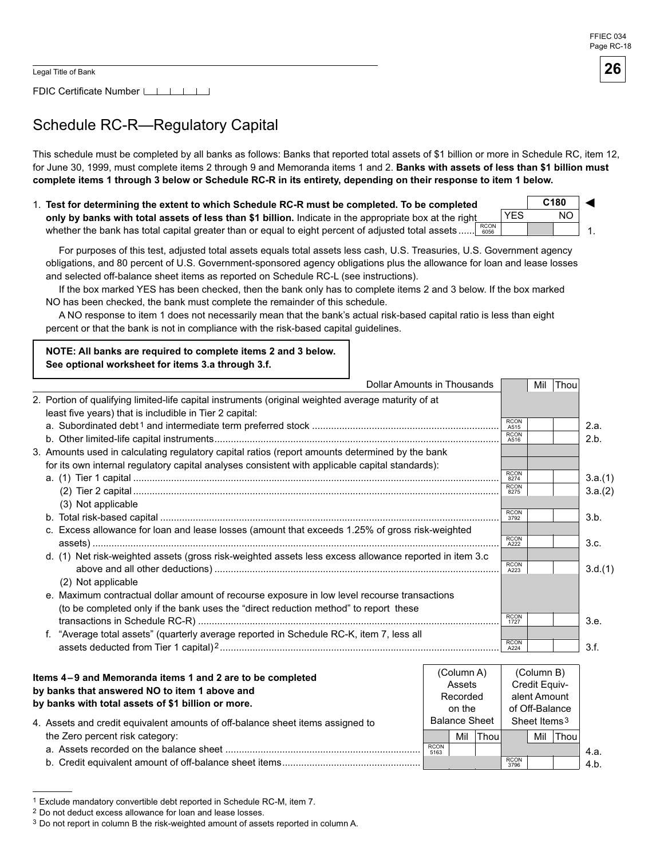1.

◄

FDIC Certificate Number [16]

# Schedule RC-R—Regulatory Capital

This schedule must be completed by all banks as follows: Banks that reported total assets of \$1 billion or more in Schedule RC, item 12, for June 30, 1999, must complete items 2 through 9 and Memoranda items 1 and 2. Banks with assets of less than \$1 billion must complete items 1 through 3 below or Schedule RC-R in its entirety, depending on their response to item 1 below.

1. Test for determining the extent to which Schedule RC-R must be completed. To be completed **only by banks with total assets of less than \$1 billion.** Indicate in the appropriate box at the right whether the bank has total capital greater than or equal to eight percent of adjusted total assets...... **C180** RCON 6056 YES NO

For purposes of this test, adjusted total assets equals total assets less cash, U.S. Treasuries, U.S. Government agency obligations, and 80 percent of U.S. Government-sponsored agency obligations plus the allowance for loan and lease losses and selected off-balance sheet items as reported on Schedule RC-L (see instructions).

If the box marked YES has been checked, then the bank only has to complete items 2 and 3 below. If the box marked NO has been checked, the bank must complete the remainder of this schedule.

A NO response to item 1 does not necessarily mean that the bank's actual risk-based capital ratio is less than eight percent or that the bank is not in compliance with the risk-based capital guidelines.

**NOTE: All banks are required to complete items 2 and 3 below.** See optional worksheet for items 3.a through 3.f.

| <b>Dollar Amounts in Thousands</b>                                                                                                                             |                            | Mil                   | Thou |         |
|----------------------------------------------------------------------------------------------------------------------------------------------------------------|----------------------------|-----------------------|------|---------|
| 2. Portion of qualifying limited-life capital instruments (original weighted average maturity of at<br>least five years) that is includible in Tier 2 capital: |                            |                       |      |         |
|                                                                                                                                                                | <b>RCON</b><br>A515        |                       |      | 2.a.    |
|                                                                                                                                                                | <b>RCON</b><br>A516        |                       |      | 2.b.    |
| 3. Amounts used in calculating regulatory capital ratios (report amounts determined by the bank                                                                |                            |                       |      |         |
| for its own internal regulatory capital analyses consistent with applicable capital standards):                                                                |                            |                       |      |         |
|                                                                                                                                                                | <b>RCON</b><br>8274        |                       |      | 3.a.(1) |
|                                                                                                                                                                | <b>RCON</b><br>8275        |                       |      | 3.a.(2) |
| (3) Not applicable                                                                                                                                             |                            |                       |      |         |
|                                                                                                                                                                | <b>RCON</b><br>3792        |                       |      | 3.b.    |
| c. Excess allowance for loan and lease losses (amount that exceeds 1.25% of gross risk-weighted                                                                |                            |                       |      |         |
|                                                                                                                                                                | <b>RCON</b><br>A222        |                       |      | 3.c.    |
| d. (1) Net risk-weighted assets (gross risk-weighted assets less excess allowance reported in item 3.c                                                         |                            |                       |      |         |
|                                                                                                                                                                | <b>RCON</b><br>A223        |                       |      | 3.d.(1) |
| (2) Not applicable                                                                                                                                             |                            |                       |      |         |
| e. Maximum contractual dollar amount of recourse exposure in low level recourse transactions                                                                   |                            |                       |      |         |
| (to be completed only if the bank uses the "direct reduction method" to report these                                                                           |                            |                       |      |         |
|                                                                                                                                                                | <b>RCON</b><br>1727        |                       |      | 3.e.    |
| "Average total assets" (quarterly average reported in Schedule RC-K, item 7, less all<br>f.                                                                    |                            |                       |      |         |
|                                                                                                                                                                | <b>RCON</b><br>A224        |                       |      | 3.f.    |
|                                                                                                                                                                |                            |                       |      |         |
|                                                                                                                                                                | $(C_{\Omega}$ umn $\Delta$ | $(C_{\Omega}$ umn $R$ |      |         |

| Items 4–9 and Memoranda items 1 and 2 are to be completed<br>by banks that answered NO to item 1 above and<br>by banks with total assets of \$1 billion or more.<br>4. Assets and credit equivalent amounts of off-balance sheet items assigned to |                     | (Column A)<br>Assets<br>Recorded<br>on the<br><b>Balance Sheet</b> |       | (Column B)<br>Credit Equiv-<br>alent Amount<br>of Off-Balance<br>Sheet Items <sup>3</sup> |     |      |      |
|----------------------------------------------------------------------------------------------------------------------------------------------------------------------------------------------------------------------------------------------------|---------------------|--------------------------------------------------------------------|-------|-------------------------------------------------------------------------------------------|-----|------|------|
| the Zero percent risk category:                                                                                                                                                                                                                    |                     | Mil                                                                | Thoul |                                                                                           | Mil | Thou |      |
|                                                                                                                                                                                                                                                    | <b>RCON</b><br>5163 |                                                                    |       |                                                                                           |     |      | 4.a. |
|                                                                                                                                                                                                                                                    |                     |                                                                    |       | <b>RCON</b><br>3796                                                                       |     |      | 4.b. |

<sup>1</sup> Exclude mandatory convertible debt reported in Schedule RC-M, item 7.

<sup>2</sup> Do not deduct excess allowance for loan and lease losses.

<sup>&</sup>lt;sup>3</sup> Do not report in column B the risk-weighted amount of assets reported in column A.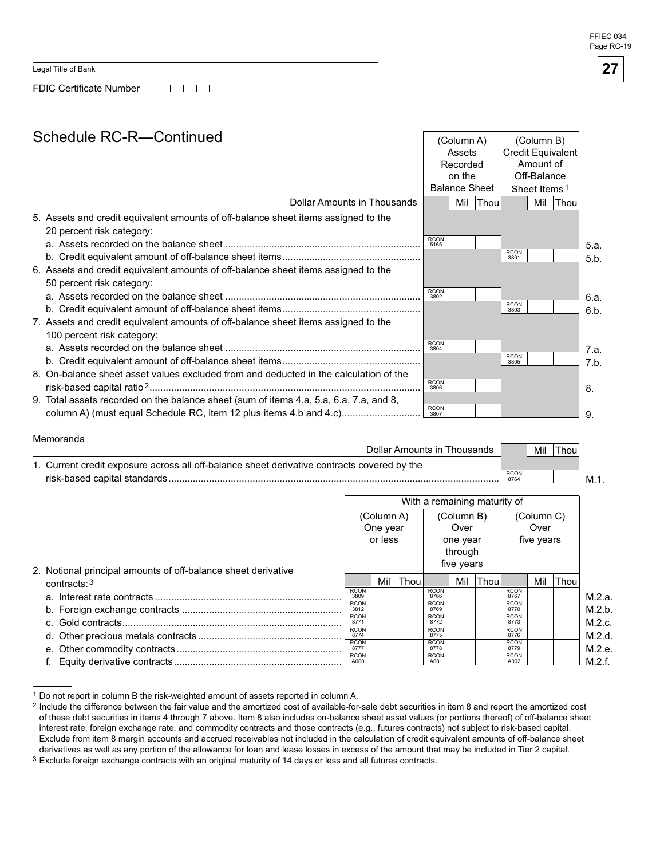FFIFC 034 Page RC-19

Legal Title of Bank

FDIC Certificate Number

### Schedule RC-R—Continued

|                                                                                        | <b>Credit Equivalent</b><br>Assets<br>Recorded<br>Amount of |                      |             |                     |                          |      |      |
|----------------------------------------------------------------------------------------|-------------------------------------------------------------|----------------------|-------------|---------------------|--------------------------|------|------|
|                                                                                        |                                                             |                      |             |                     |                          |      |      |
|                                                                                        | on the                                                      |                      |             | Off-Balance         |                          |      |      |
|                                                                                        |                                                             | <b>Balance Sheet</b> |             |                     | Sheet Items <sup>1</sup> |      |      |
| Dollar Amounts in Thousands                                                            |                                                             | Mil                  | <b>Thou</b> |                     | Mil                      | Thou |      |
| 5. Assets and credit equivalent amounts of off-balance sheet items assigned to the     |                                                             |                      |             |                     |                          |      |      |
| 20 percent risk category:                                                              |                                                             |                      |             |                     |                          |      |      |
|                                                                                        | <b>RCON</b><br>5165                                         |                      |             |                     |                          |      | 5.a. |
|                                                                                        |                                                             |                      |             | <b>RCON</b><br>3801 |                          |      | 5.b. |
| 6. Assets and credit equivalent amounts of off-balance sheet items assigned to the     |                                                             |                      |             |                     |                          |      |      |
| 50 percent risk category:                                                              |                                                             |                      |             |                     |                          |      |      |
|                                                                                        | <b>RCON</b><br>3802                                         |                      |             |                     |                          |      | 6.a. |
|                                                                                        |                                                             |                      |             | <b>RCON</b><br>3803 |                          |      | 6.b. |
| 7. Assets and credit equivalent amounts of off-balance sheet items assigned to the     |                                                             |                      |             |                     |                          |      |      |
| 100 percent risk category:                                                             |                                                             |                      |             |                     |                          |      |      |
|                                                                                        | <b>RCON</b><br>3804                                         |                      |             |                     |                          |      | 7.a. |
|                                                                                        |                                                             |                      |             | <b>RCON</b><br>3805 |                          |      | 7.b. |
| 8. On-balance sheet asset values excluded from and deducted in the calculation of the  |                                                             |                      |             |                     |                          |      |      |
|                                                                                        | <b>RCON</b><br>3806                                         |                      |             |                     |                          |      | 8.   |
| 9. Total assets recorded on the balance sheet (sum of items 4.a, 5.a, 6.a, 7.a, and 8, |                                                             |                      |             |                     |                          |      |      |
| column A) (must equal Schedule RC, item 12 plus items 4.b and 4.c)                     | <b>RCON</b><br>3807                                         |                      |             |                     |                          |      | 9.   |

| Memoranda                                                                                   |                     |     |       |     |
|---------------------------------------------------------------------------------------------|---------------------|-----|-------|-----|
| Dollar Amounts in Thousands                                                                 |                     | Mil | Thou. |     |
| 1. Current credit exposure across all off-balance sheet derivative contracts covered by the |                     |     |       |     |
| risk-based capital standards                                                                | <b>RCON</b><br>8764 |     |       | M 1 |

|                                                               | With a remaining maturity of |            |      |                     |            |      |                     |            |             |        |
|---------------------------------------------------------------|------------------------------|------------|------|---------------------|------------|------|---------------------|------------|-------------|--------|
|                                                               |                              | (Column A) |      |                     | (Column B) |      |                     | (Column C) |             |        |
|                                                               |                              | One year   |      |                     | Over       |      |                     | Over       |             |        |
|                                                               |                              | or less    |      |                     | one year   |      |                     | five years |             |        |
|                                                               |                              |            |      |                     | through    |      |                     |            |             |        |
| 2. Notional principal amounts of off-balance sheet derivative |                              |            |      |                     | five years |      |                     |            |             |        |
| contracts: $3$                                                |                              | Mil        | Thou |                     | Mil        | Thou |                     | Mil        | <b>Thou</b> |        |
|                                                               | <b>RCON</b><br>3809          |            |      | <b>RCON</b><br>8766 |            |      | <b>RCON</b><br>8767 |            |             | M.2.a. |
|                                                               | <b>RCON</b><br>3812          |            |      | <b>RCON</b><br>8769 |            |      | <b>RCON</b><br>8770 |            |             | M.2.b. |
|                                                               | <b>RCON</b><br>8771          |            |      | <b>RCON</b><br>8772 |            |      | <b>RCON</b><br>8773 |            |             | M.2.c. |
|                                                               | <b>RCON</b><br>8774          |            |      | <b>RCON</b><br>8775 |            |      | <b>RCON</b><br>8776 |            |             | M.2.d. |
|                                                               | <b>RCON</b><br>8777          |            |      | <b>RCON</b><br>8778 |            |      | <b>RCON</b><br>8779 |            |             | M.2.e. |
|                                                               | <b>RCON</b><br>A000          |            |      | <b>RCON</b><br>A001 |            |      | <b>RCON</b><br>A002 |            |             | M.2.f. |

<sup>1</sup> Do not report in column B the risk-weighted amount of assets reported in column A.

(Column A)

(Column B)

<sup>2</sup> Include the difference between the fair value and the amortized cost of available-for-sale debt securities in item 8 and report the amortized cost of these debt securities in items 4 through 7 above. Item 8 also includes on-balance sheet asset values (or portions thereof) of off-balance sheet interest rate, foreign exchange rate, and commodity contracts and those contracts (e.g., futures contracts) not subject to risk-based capital. Exclude from item 8 margin accounts and accrued receivables not included in the calculation of credit equivalent amounts of off-balance sheet derivatives as well as any portion of the allowance for loan and lease losses in excess of the amount that may be included in Tier 2 capital.

Exclude foreign exchange contracts with an original maturity of 14 days or less and all futures contracts.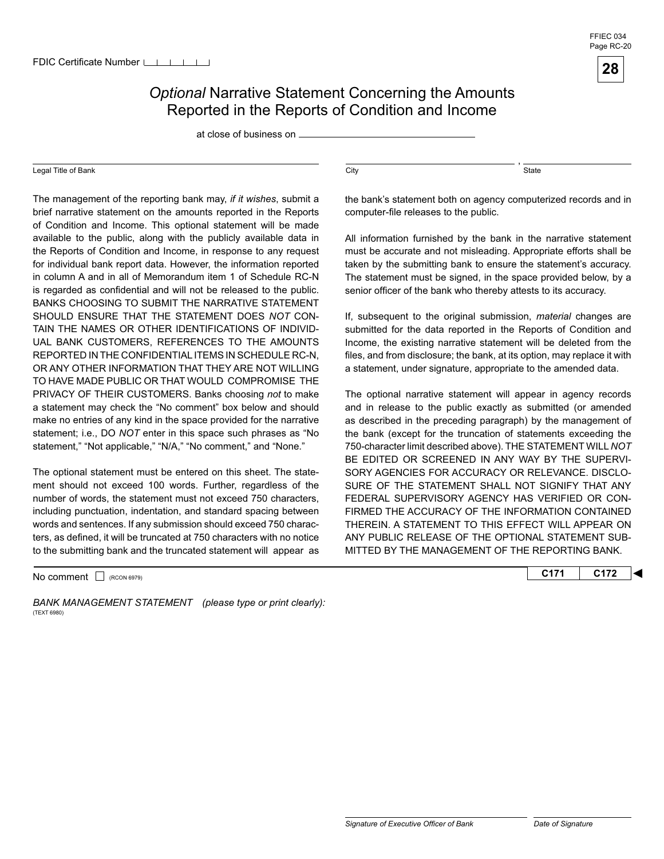### **Optional Narrative Statement Concerning the Amounts** Reported in the Reports of Condition and Income

at close of business on

#### Legal Title of Bank

 TO HAVE MADE PUBLIC OR THAT WOULD COMPROMISE THE The management of the reporting bank may, *if it wishes*, submit a brief narrative statement on the amounts reported in the Reports of Condition and Income. This optional statement will be made available to the public, along with the publicly available data in the Reports of Condition and Income, in response to any request for individual bank report data. However, the information reported in column A and in all of Memorandum item 1 of Schedule RC-N is regarded as confidential and will not be released to the public. BANKS CHOOSING TO SUBMIT THE NARRATIVE STATEMENT SHOULD ENSURE THAT THE STATEMENT DOES *NOT* CON-TAIN THE NAMES OR OTHER IDENTIFICATIONS OF INDIVID-UAL BANK CUSTOMERS, REFERENCES TO THE AMOUNTS REPORTED IN THE CONFIDENTIAL ITEMS IN SCHEDULE RC-N, OR ANY OTHER INFORMATION THAT THEY ARE NOT WILLING PRIVACY OF THEIR CUSTOMERS. Banks choosing *not* to make a statement may check the "No comment" box below and should make no entries of any kind in the space provided for the narrative statement; i.e., DO *NOT* enter in this space such phrases as "No statement," "Not applicable," "N/A," "No comment," and "None."

 to the submitting bank and the truncated statement will appear as The optional statement must be entered on this sheet. The statement should not exceed 100 words. Further, regardless of the number of words, the statement must not exceed 750 characters, including punctuation, indentation, and standard spacing between words and sentences. If any submission should exceed 750 characters, as defined, it will be truncated at 750 characters with no notice

BANK MANAGEMENT STATEMENT (please type or print clearly): (TEXT 6980)

 $\overline{\text{City}}$ ,  $\overline{\text{State}}$ 

the bank's statement both on agency computerized records and in computer-file releases to the public.

All information furnished by the bank in the narrative statement must be accurate and not misleading. Appropriate efforts shall be taken by the submitting bank to ensure the statement's accuracy. The statement must be signed, in the space provided below, by a senior officer of the bank who thereby attests to its accuracy.

If, subsequent to the original submission, *material* changes are submitted for the data reported in the Reports of Condition and Income, the existing narrative statement will be deleted from the files, and from disclosure; the bank, at its option, may replace it with a statement, under signature, appropriate to the amended data.

The optional narrative statement will appear in agency records and in release to the public exactly as submitted (or amended as described in the preceding paragraph) by the management of the bank (except for the truncation of statements exceeding the 750-character limit described above). THE STATEMENT WILL *NOT*  BE EDITED OR SCREENED IN ANY WAY BY THE SUPERVI-SORY AGENCIES FOR ACCURACY OR RELEVANCE. DISCLO-SURE OF THE STATEMENT SHALL NOT SIGNIFY THAT ANY FEDERAL SUPERVISORY AGENCY HAS VERIFIED OR CON-FIRMED THE ACCURACY OF THE INFORMATION CONTAINED THEREIN. A STATEMENT TO THIS EFFECT WILL APPEAR ON ANY PUBLIC RELEASE OF THE OPTIONAL STATEMENT SUB-MITTED BY THE MANAGEMENT OF THE REPORTING BANK.

No comment  $\Box$ <sub>(RCON 6979)</sub> **C172 C172**